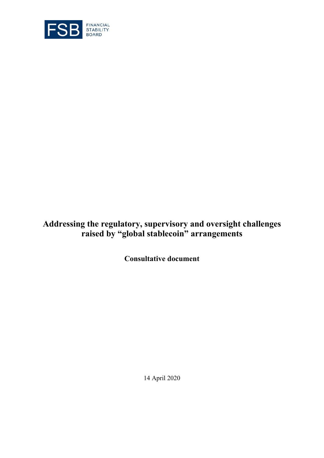

# **Addressing the regulatory, supervisory and oversight challenges raised by "global stablecoin" arrangements**

**Consultative document** 

14 April 2020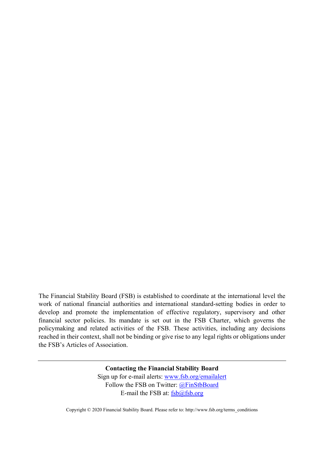The Financial Stability Board (FSB) is established to coordinate at the international level the work of national financial authorities and international standard-setting bodies in order to develop and promote the implementation of effective regulatory, supervisory and other financial sector policies. Its mandate is set out in the FSB Charter, which governs the policymaking and related activities of the FSB. These activities, including any decisions reached in their context, shall not be binding or give rise to any legal rights or obligations under the FSB's Articles of Association.

> **Contacting the Financial Stability Board**  Sign up for e-mail alerts: www.fsb.org/emailalert Follow the FSB on Twitter: @FinStbBoard E-mail the FSB at:  $fsb@fsb.org$

Copyright © 2020 Financial Stability Board. Please refer to: http://www.fsb.org/terms\_conditions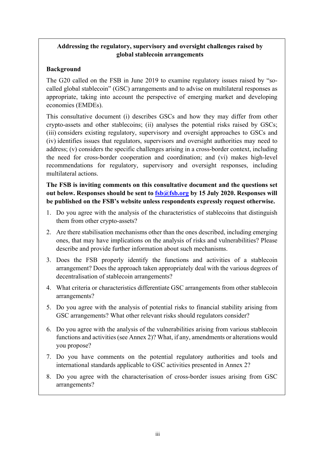## **Addressing the regulatory, supervisory and oversight challenges raised by global stablecoin arrangements**

## **Background**

The G20 called on the FSB in June 2019 to examine regulatory issues raised by "socalled global stablecoin" (GSC) arrangements and to advise on multilateral responses as appropriate, taking into account the perspective of emerging market and developing economies (EMDEs).

This consultative document (i) describes GSCs and how they may differ from other crypto-assets and other stablecoins; (ii) analyses the potential risks raised by GSCs; (iii) considers existing regulatory, supervisory and oversight approaches to GSCs and (iv) identifies issues that regulators, supervisors and oversight authorities may need to address; (v) considers the specific challenges arising in a cross-border context, including the need for cross-border cooperation and coordination; and (vi) makes high-level recommendations for regulatory, supervisory and oversight responses, including multilateral actions.

**The FSB is inviting comments on this consultative document and the questions set**  out below. Responses should be sent to  $fsb@fsb.org$  by 15 July 2020. Responses will **be published on the FSB's website unless respondents expressly request otherwise.** 

- 1. Do you agree with the analysis of the characteristics of stablecoins that distinguish them from other crypto-assets?
- 2. Are there stabilisation mechanisms other than the ones described, including emerging ones, that may have implications on the analysis of risks and vulnerabilities? Please describe and provide further information about such mechanisms.
- 3. Does the FSB properly identify the functions and activities of a stablecoin arrangement? Does the approach taken appropriately deal with the various degrees of decentralisation of stablecoin arrangements?
- 4. What criteria or characteristics differentiate GSC arrangements from other stablecoin arrangements?
- 5. Do you agree with the analysis of potential risks to financial stability arising from GSC arrangements? What other relevant risks should regulators consider?
- 6. Do you agree with the analysis of the vulnerabilities arising from various stablecoin functions and activities (see Annex 2)? What, if any, amendments or alterations would you propose?
- 7. Do you have comments on the potential regulatory authorities and tools and international standards applicable to GSC activities presented in Annex 2?
- 8. Do you agree with the characterisation of cross-border issues arising from GSC arrangements?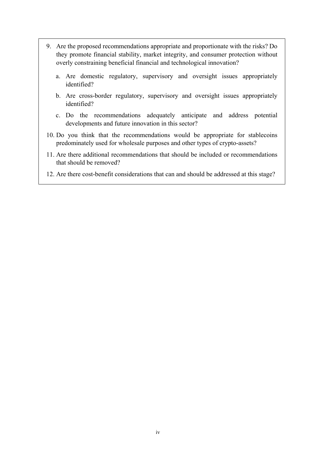- 9. Are the proposed recommendations appropriate and proportionate with the risks? Do they promote financial stability, market integrity, and consumer protection without overly constraining beneficial financial and technological innovation?
	- a. Are domestic regulatory, supervisory and oversight issues appropriately identified?
	- b. Are cross-border regulatory, supervisory and oversight issues appropriately identified?
	- c. Do the recommendations adequately anticipate and address potential developments and future innovation in this sector?
- 10. Do you think that the recommendations would be appropriate for stablecoins predominately used for wholesale purposes and other types of crypto-assets?
- 11. Are there additional recommendations that should be included or recommendations that should be removed?
- 12. Are there cost-benefit considerations that can and should be addressed at this stage?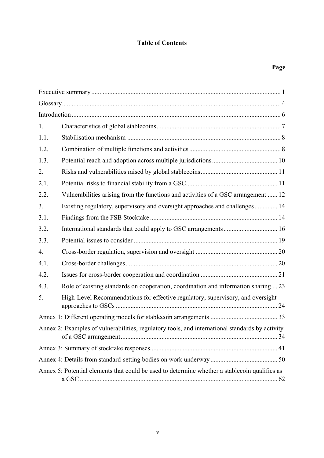# **Table of Contents**

# **Page**

| 1.   |                                                                                                 |  |  |  |
|------|-------------------------------------------------------------------------------------------------|--|--|--|
| 1.1. |                                                                                                 |  |  |  |
| 1.2. |                                                                                                 |  |  |  |
| 1.3. |                                                                                                 |  |  |  |
| 2.   |                                                                                                 |  |  |  |
| 2.1. |                                                                                                 |  |  |  |
| 2.2. | Vulnerabilities arising from the functions and activities of a GSC arrangement  12              |  |  |  |
| 3.   | Existing regulatory, supervisory and oversight approaches and challenges 14                     |  |  |  |
| 3.1. |                                                                                                 |  |  |  |
| 3.2. | International standards that could apply to GSC arrangements 16                                 |  |  |  |
| 3.3. |                                                                                                 |  |  |  |
| 4.   |                                                                                                 |  |  |  |
| 4.1. |                                                                                                 |  |  |  |
| 4.2. |                                                                                                 |  |  |  |
| 4.3. | Role of existing standards on cooperation, coordination and information sharing  23             |  |  |  |
| 5.   | High-Level Recommendations for effective regulatory, supervisory, and oversight                 |  |  |  |
|      |                                                                                                 |  |  |  |
|      | Annex 2: Examples of vulnerabilities, regulatory tools, and international standards by activity |  |  |  |
|      |                                                                                                 |  |  |  |
|      |                                                                                                 |  |  |  |
|      | Annex 5: Potential elements that could be used to determine whether a stablecoin qualifies as   |  |  |  |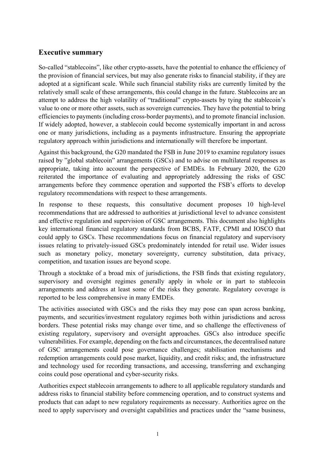# **Executive summary**

So-called "stablecoins", like other crypto-assets, have the potential to enhance the efficiency of the provision of financial services, but may also generate risks to financial stability, if they are adopted at a significant scale. While such financial stability risks are currently limited by the relatively small scale of these arrangements, this could change in the future. Stablecoins are an attempt to address the high volatility of "traditional" crypto-assets by tying the stablecoin's value to one or more other assets, such as sovereign currencies. They have the potential to bring efficiencies to payments (including cross-border payments), and to promote financial inclusion. If widely adopted, however, a stablecoin could become systemically important in and across one or many jurisdictions, including as a payments infrastructure. Ensuring the appropriate regulatory approach within jurisdictions and internationally will therefore be important.

Against this background, the G20 mandated the FSB in June 2019 to examine regulatory issues raised by "global stablecoin" arrangements (GSCs) and to advise on multilateral responses as appropriate, taking into account the perspective of EMDEs. In February 2020, the G20 reiterated the importance of evaluating and appropriately addressing the risks of GSC arrangements before they commence operation and supported the FSB's efforts to develop regulatory recommendations with respect to these arrangements.

In response to these requests, this consultative document proposes 10 high-level recommendations that are addressed to authorities at jurisdictional level to advance consistent and effective regulation and supervision of GSC arrangements. This document also highlights key international financial regulatory standards from BCBS, FATF, CPMI and IOSCO that could apply to GSCs. These recommendations focus on financial regulatory and supervisory issues relating to privately-issued GSCs predominately intended for retail use. Wider issues such as monetary policy, monetary sovereignty, currency substitution, data privacy, competition, and taxation issues are beyond scope.

Through a stocktake of a broad mix of jurisdictions, the FSB finds that existing regulatory, supervisory and oversight regimes generally apply in whole or in part to stablecoin arrangements and address at least some of the risks they generate. Regulatory coverage is reported to be less comprehensive in many EMDEs.

The activities associated with GSCs and the risks they may pose can span across banking, payments, and securities/investment regulatory regimes both within jurisdictions and across borders. These potential risks may change over time, and so challenge the effectiveness of existing regulatory, supervisory and oversight approaches. GSCs also introduce specific vulnerabilities. For example, depending on the facts and circumstances, the decentralised nature of GSC arrangements could pose governance challenges; stabilisation mechanisms and redemption arrangements could pose market, liquidity, and credit risks; and, the infrastructure and technology used for recording transactions, and accessing, transferring and exchanging coins could pose operational and cyber-security risks.

Authorities expect stablecoin arrangements to adhere to all applicable regulatory standards and address risks to financial stability before commencing operation, and to construct systems and products that can adapt to new regulatory requirements as necessary. Authorities agree on the need to apply supervisory and oversight capabilities and practices under the "same business,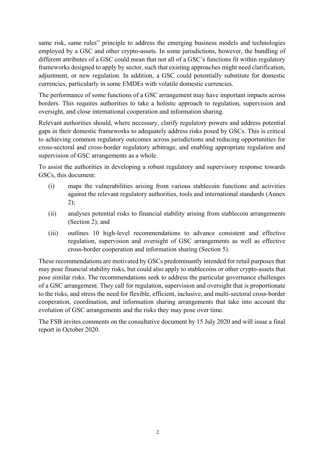same risk, same rules" principle to address the emerging business models and technologies employed by a GSC and other crypto-assets. In some jurisdictions, however, the bundling of different attributes of a GSC could mean that not all of a GSC's functions fit within regulatory frameworks designed to apply by sector, such that existing approaches might need clarification, adjustment, or new regulation. In addition, a GSC could potentially substitute for domestic currencies, particularly in some EMDEs with volatile domestic currencies.

The performance of some functions of a GSC arrangement may have important impacts across borders. This requires authorities to take a holistic approach to regulation, supervision and oversight, and close international cooperation and information sharing.

Relevant authorities should, where necessary, clarify regulatory powers and address potential gaps in their domestic frameworks to adequately address risks posed by GSCs. This is critical to achieving common regulatory outcomes across jurisdictions and reducing opportunities for cross-sectoral and cross-border regulatory arbitrage, and enabling appropriate regulation and supervision of GSC arrangements as a whole.

To assist the authorities in developing a robust regulatory and supervisory response towards GSCs, this document:

- (i) maps the vulnerabilities arising from various stablecoin functions and activities against the relevant regulatory authorities, tools and international standards (Annex 2);
- (ii) analyses potential risks to financial stability arising from stablecoin arrangements (Section 2); and
- (iii) outlines 10 high-level recommendations to advance consistent and effective regulation, supervision and oversight of GSC arrangements as well as effective cross-border cooperation and information sharing (Section 5).

These recommendations are motivated by GSCs predominantly intended for retail purposes that may pose financial stability risks, but could also apply to stablecoins or other crypto-assets that pose similar risks. The recommendations seek to address the particular governance challenges of a GSC arrangement. They call for regulation, supervision and oversight that is proportionate to the risks, and stress the need for flexible, efficient, inclusive, and multi-sectoral cross-border cooperation, coordination, and information sharing arrangements that take into account the evolution of GSC arrangements and the risks they may pose over time.

The FSB invites comments on the consultative document by 15 July 2020 and will issue a final report in October 2020.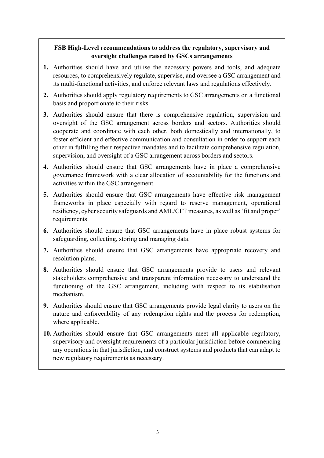## **FSB High-Level recommendations to address the regulatory, supervisory and oversight challenges raised by GSCs arrangements**

- **1.** Authorities should have and utilise the necessary powers and tools, and adequate resources, to comprehensively regulate, supervise, and oversee a GSC arrangement and its multi-functional activities, and enforce relevant laws and regulations effectively.
- **2.** Authorities should apply regulatory requirements to GSC arrangements on a functional basis and proportionate to their risks.
- **3.** Authorities should ensure that there is comprehensive regulation, supervision and oversight of the GSC arrangement across borders and sectors. Authorities should cooperate and coordinate with each other, both domestically and internationally, to foster efficient and effective communication and consultation in order to support each other in fulfilling their respective mandates and to facilitate comprehensive regulation, supervision, and oversight of a GSC arrangement across borders and sectors.
- **4.** Authorities should ensure that GSC arrangements have in place a comprehensive governance framework with a clear allocation of accountability for the functions and activities within the GSC arrangement.
- **5.** Authorities should ensure that GSC arrangements have effective risk management frameworks in place especially with regard to reserve management, operational resiliency, cyber security safeguards and AML/CFT measures, as well as 'fit and proper' requirements.
- **6.** Authorities should ensure that GSC arrangements have in place robust systems for safeguarding, collecting, storing and managing data.
- **7.** Authorities should ensure that GSC arrangements have appropriate recovery and resolution plans.
- **8.** Authorities should ensure that GSC arrangements provide to users and relevant stakeholders comprehensive and transparent information necessary to understand the functioning of the GSC arrangement, including with respect to its stabilisation mechanism.
- **9.** Authorities should ensure that GSC arrangements provide legal clarity to users on the nature and enforceability of any redemption rights and the process for redemption, where applicable.
- **10.** Authorities should ensure that GSC arrangements meet all applicable regulatory, supervisory and oversight requirements of a particular jurisdiction before commencing any operations in that jurisdiction, and construct systems and products that can adapt to new regulatory requirements as necessary.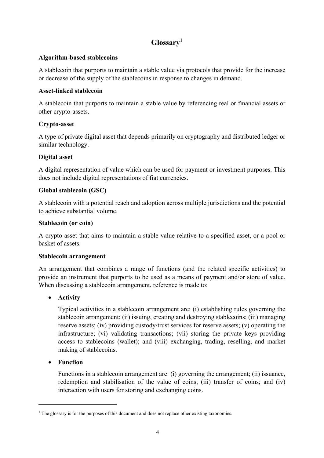# **Glossary<sup>1</sup>**

#### **Algorithm-based stablecoins**

A stablecoin that purports to maintain a stable value via protocols that provide for the increase or decrease of the supply of the stablecoins in response to changes in demand.

## **Asset-linked stablecoin**

A stablecoin that purports to maintain a stable value by referencing real or financial assets or other crypto-assets.

## **Crypto-asset**

A type of private digital asset that depends primarily on cryptography and distributed ledger or similar technology.

## **Digital asset**

A digital representation of value which can be used for payment or investment purposes. This does not include digital representations of fiat currencies.

## **Global stablecoin (GSC)**

A stablecoin with a potential reach and adoption across multiple jurisdictions and the potential to achieve substantial volume.

#### **Stablecoin (or coin)**

A crypto-asset that aims to maintain a stable value relative to a specified asset, or a pool or basket of assets

#### **Stablecoin arrangement**

An arrangement that combines a range of functions (and the related specific activities) to provide an instrument that purports to be used as a means of payment and/or store of value. When discussing a stablecoin arrangement, reference is made to:

## • **Activity**

Typical activities in a stablecoin arrangement are: (i) establishing rules governing the stablecoin arrangement; (ii) issuing, creating and destroying stablecoins; (iii) managing reserve assets; (iv) providing custody/trust services for reserve assets; (v) operating the infrastructure; (vi) validating transactions; (vii) storing the private keys providing access to stablecoins (wallet); and (viii) exchanging, trading, reselling, and market making of stablecoins.

#### • **Function**

1

Functions in a stablecoin arrangement are: (i) governing the arrangement; (ii) issuance, redemption and stabilisation of the value of coins; (iii) transfer of coins; and (iv) interaction with users for storing and exchanging coins.

<sup>&</sup>lt;sup>1</sup> The glossary is for the purposes of this document and does not replace other existing taxonomies.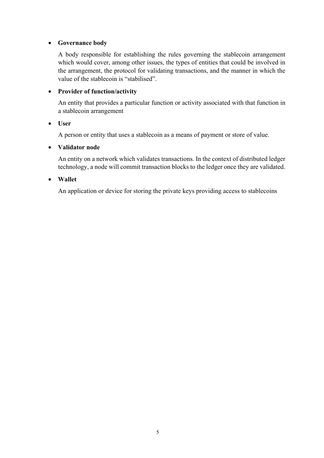#### • **Governance body**

A body responsible for establishing the rules governing the stablecoin arrangement which would cover, among other issues, the types of entities that could be involved in the arrangement, the protocol for validating transactions, and the manner in which the value of the stablecoin is "stabilised".

## • **Provider of function/activity**

An entity that provides a particular function or activity associated with that function in a stablecoin arrangement

#### • **User**

A person or entity that uses a stablecoin as a means of payment or store of value.

#### • **Validator node**

An entity on a network which validates transactions. In the context of distributed ledger technology, a node will commit transaction blocks to the ledger once they are validated.

#### • **Wallet**

An application or device for storing the private keys providing access to stablecoins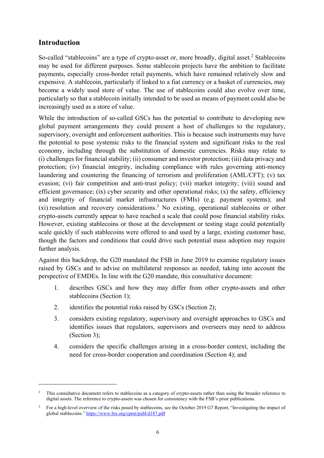# **Introduction**

1

So-called "stablecoins" are a type of crypto-asset or, more broadly, digital asset.<sup>2</sup> Stablecoins may be used for different purposes. Some stablecoin projects have the ambition to facilitate payments, especially cross-border retail payments, which have remained relatively slow and expensive. A stablecoin, particularly if linked to a fiat currency or a basket of currencies, may become a widely used store of value. The use of stablecoins could also evolve over time, particularly so that a stablecoin initially intended to be used as means of payment could also be increasingly used as a store of value.

While the introduction of so-called GSCs has the potential to contribute to developing new global payment arrangements they could present a host of challenges to the regulatory, supervisory, oversight and enforcement authorities. This is because such instruments may have the potential to pose systemic risks to the financial system and significant risks to the real economy, including through the substitution of domestic currencies. Risks may relate to (i) challenges for financial stability; (ii) consumer and investor protection; (iii) data privacy and protection; (iv) financial integrity, including compliance with rules governing anti-money laundering and countering the financing of terrorism and proliferation (AML/CFT); (v) tax evasion; (vi) fair competition and anti-trust policy; (vii) market integrity; (viii) sound and efficient governance; (ix) cyber security and other operational risks; (x) the safety, efficiency and integrity of financial market infrastructures (FMIs) (e.g. payment systems); and  $(xi)$  resolution and recovery considerations.<sup>3</sup> No existing, operational stablecoins or other crypto-assets currently appear to have reached a scale that could pose financial stability risks. However, existing stablecoins or those at the development or testing stage could potentially scale quickly if such stablecoins were offered to and used by a large, existing customer base, though the factors and conditions that could drive such potential mass adoption may require further analysis.

Against this backdrop, the G20 mandated the FSB in June 2019 to examine regulatory issues raised by GSCs and to advise on multilateral responses as needed, taking into account the perspective of EMDEs. In line with the G20 mandate, this consultative document:

- 1. describes GSCs and how they may differ from other crypto-assets and other stablecoins (Section 1);
- 2. identifies the potential risks raised by GSCs (Section 2);
- 3. considers existing regulatory, supervisory and oversight approaches to GSCs and identifies issues that regulators, supervisors and overseers may need to address (Section 3);
- 4. considers the specific challenges arising in a cross-border context, including the need for cross-border cooperation and coordination (Section 4); and

<sup>2</sup> This consultative document refers to stablecoins as a category of crypto-assets rather than using the broader reference to digital assets. The reference to crypto-assets was chosen for consistency with the FSB's prior publications.

<sup>&</sup>lt;sup>3</sup> For a high-level overview of the risks posed by stablecoins, see the October 2019 G7 Report, "Investigating the impact of global stablecoins." https://www.bis.org/cpmi/publ/d187.pdf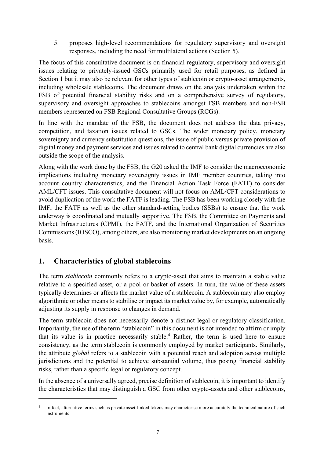5. proposes high-level recommendations for regulatory supervisory and oversight responses, including the need for multilateral actions (Section 5).

The focus of this consultative document is on financial regulatory, supervisory and oversight issues relating to privately-issued GSCs primarily used for retail purposes, as defined in Section 1 but it may also be relevant for other types of stablecoin or crypto-asset arrangements, including wholesale stablecoins. The document draws on the analysis undertaken within the FSB of potential financial stability risks and on a comprehensive survey of regulatory, supervisory and oversight approaches to stablecoins amongst FSB members and non-FSB members represented on FSB Regional Consultative Groups (RCGs).

In line with the mandate of the FSB, the document does not address the data privacy, competition, and taxation issues related to GSCs. The wider monetary policy, monetary sovereignty and currency substitution questions, the issue of public versus private provision of digital money and payment services and issues related to central bank digital currencies are also outside the scope of the analysis.

Along with the work done by the FSB, the G20 asked the IMF to consider the macroeconomic implications including monetary sovereignty issues in IMF member countries, taking into account country characteristics, and the Financial Action Task Force (FATF) to consider AML/CFT issues. This consultative document will not focus on AML/CFT considerations to avoid duplication of the work the FATF is leading. The FSB has been working closely with the IMF, the FATF as well as the other standard-setting bodies (SSBs) to ensure that the work underway is coordinated and mutually supportive. The FSB, the Committee on Payments and Market Infrastructures (CPMI), the FATF, and the International Organization of Securities Commissions (IOSCO), among others, are also monitoring market developments on an ongoing basis.

# **1. Characteristics of global stablecoins**

1

The term *stablecoin* commonly refers to a crypto-asset that aims to maintain a stable value relative to a specified asset, or a pool or basket of assets. In turn, the value of these assets typically determines or affects the market value of a stablecoin. A stablecoin may also employ algorithmic or other means to stabilise or impact its market value by, for example, automatically adjusting its supply in response to changes in demand.

The term stablecoin does not necessarily denote a distinct legal or regulatory classification. Importantly, the use of the term "stablecoin" in this document is not intended to affirm or imply that its value is in practice necessarily stable.<sup>4</sup> Rather, the term is used here to ensure consistency, as the term stablecoin is commonly employed by market participants. Similarly, the attribute *global* refers to a stablecoin with a potential reach and adoption across multiple jurisdictions and the potential to achieve substantial volume, thus posing financial stability risks, rather than a specific legal or regulatory concept.

In the absence of a universally agreed, precise definition of stablecoin, it is important to identify the characteristics that may distinguish a GSC from other crypto-assets and other stablecoins,

<sup>&</sup>lt;sup>4</sup> In fact, alternative terms such as private asset-linked tokens may characterise more accurately the technical nature of such instruments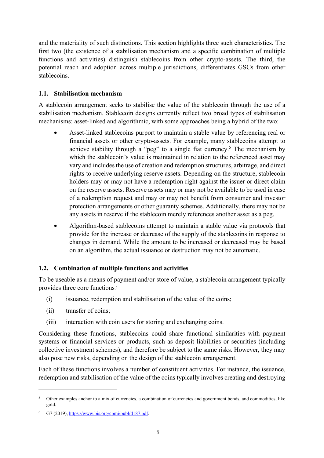and the materiality of such distinctions. This section highlights three such characteristics. The first two (the existence of a stabilisation mechanism and a specific combination of multiple functions and activities) distinguish stablecoins from other crypto-assets. The third, the potential reach and adoption across multiple jurisdictions, differentiates GSCs from other stablecoins.

## **1.1. Stabilisation mechanism**

A stablecoin arrangement seeks to stabilise the value of the stablecoin through the use of a stabilisation mechanism. Stablecoin designs currently reflect two broad types of stabilisation mechanisms: asset-linked and algorithmic, with some approaches being a hybrid of the two:

- Asset-linked stablecoins purport to maintain a stable value by referencing real or financial assets or other crypto-assets. For example, many stablecoins attempt to achieve stability through a "peg" to a single fiat currency.<sup>5</sup> The mechanism by which the stablecoin's value is maintained in relation to the referenced asset may vary and includes the use of creation and redemption structures, arbitrage, and direct rights to receive underlying reserve assets. Depending on the structure, stablecoin holders may or may not have a redemption right against the issuer or direct claim on the reserve assets. Reserve assets may or may not be available to be used in case of a redemption request and may or may not benefit from consumer and investor protection arrangements or other guaranty schemes. Additionally, there may not be any assets in reserve if the stablecoin merely references another asset as a peg.
- Algorithm-based stablecoins attempt to maintain a stable value via protocols that provide for the increase or decrease of the supply of the stablecoins in response to changes in demand. While the amount to be increased or decreased may be based on an algorithm, the actual issuance or destruction may not be automatic.

## **1.2. Combination of multiple functions and activities**

To be useable as a means of payment and/or store of value, a stablecoin arrangement typically provides three core functions: 6

- (i) issuance, redemption and stabilisation of the value of the coins;
- (ii) transfer of coins;

<u>.</u>

(iii) interaction with coin users for storing and exchanging coins.

Considering these functions, stablecoins could share functional similarities with payment systems or financial services or products, such as deposit liabilities or securities (including collective investment schemes), and therefore be subject to the same risks. However, they may also pose new risks, depending on the design of the stablecoin arrangement.

Each of these functions involves a number of constituent activities. For instance, the issuance, redemption and stabilisation of the value of the coins typically involves creating and destroying

<sup>&</sup>lt;sup>5</sup> Other examples anchor to a mix of currencies, a combination of currencies and government bonds, and commodities, like gold.

G7 (2019), https://www.bis.org/cpmi/publ/d187.pdf.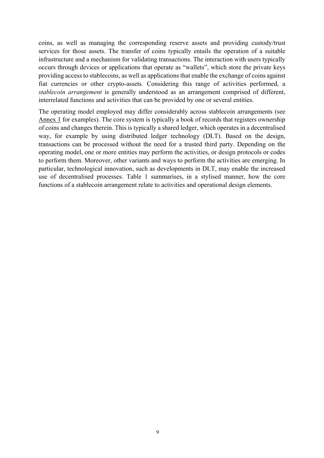coins, as well as managing the corresponding reserve assets and providing custody/trust services for those assets. The transfer of coins typically entails the operation of a suitable infrastructure and a mechanism for validating transactions. The interaction with users typically occurs through devices or applications that operate as "wallets", which store the private keys providing access to stablecoins, as well as applications that enable the exchange of coins against fiat currencies or other crypto-assets. Considering this range of activities performed, a *stablecoin arrangement* is generally understood as an arrangement comprised of different, interrelated functions and activities that can be provided by one or several entities.

The operating model employed may differ considerably across stablecoin arrangements (see Annex 1 for examples). The core system is typically a book of records that registers ownership of coins and changes therein. This is typically a shared ledger, which operates in a decentralised way, for example by using distributed ledger technology (DLT). Based on the design, transactions can be processed without the need for a trusted third party. Depending on the operating model, one or more entities may perform the activities, or design protocols or codes to perform them. Moreover, other variants and ways to perform the activities are emerging. In particular, technological innovation, such as developments in DLT, may enable the increased use of decentralised processes. Table 1 summarises, in a stylised manner, how the core functions of a stablecoin arrangement relate to activities and operational design elements.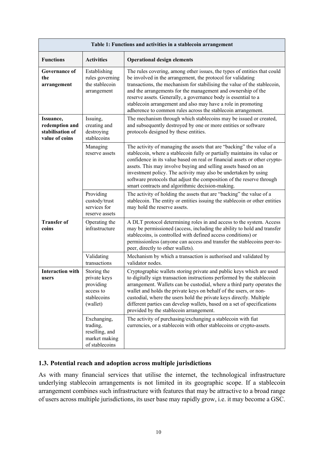|                                                                   | Table 1: Functions and activities in a stablecoin arrangement                    |                                                                                                                                                                                                                                                                                                                                                                                                                                                                                                   |  |  |
|-------------------------------------------------------------------|----------------------------------------------------------------------------------|---------------------------------------------------------------------------------------------------------------------------------------------------------------------------------------------------------------------------------------------------------------------------------------------------------------------------------------------------------------------------------------------------------------------------------------------------------------------------------------------------|--|--|
| <b>Functions</b>                                                  | <b>Activities</b>                                                                | <b>Operational design elements</b>                                                                                                                                                                                                                                                                                                                                                                                                                                                                |  |  |
| <b>Governance of</b><br>the<br>arrangement                        | Establishing<br>rules governing<br>the stablecoin<br>arrangement                 | The rules covering, among other issues, the types of entities that could<br>be involved in the arrangement, the protocol for validating<br>transactions, the mechanism for stabilising the value of the stablecoin,<br>and the arrangements for the management and ownership of the<br>reserve assets. Generally, a governance body is essential to a<br>stablecoin arrangement and also may have a role in promoting<br>adherence to common rules across the stablecoin arrangement.             |  |  |
| Issuance,<br>redemption and<br>stabilisation of<br>value of coins | Issuing,<br>creating and<br>destroying<br>stablecoins                            | The mechanism through which stablecoins may be issued or created,<br>and subsequently destroyed by one or more entities or software<br>protocols designed by these entities.                                                                                                                                                                                                                                                                                                                      |  |  |
|                                                                   | Managing<br>reserve assets                                                       | The activity of managing the assets that are "backing" the value of a<br>stablecoin, where a stablecoin fully or partially maintains its value or<br>confidence in its value based on real or financial assets or other crypto-<br>assets. This may involve buying and selling assets based on an<br>investment policy. The activity may also be undertaken by using<br>software protocols that adjust the composition of the reserve through<br>smart contracts and algorithmic decision-making. |  |  |
|                                                                   | Providing<br>custody/trust<br>services for<br>reserve assets                     | The activity of holding the assets that are "backing" the value of a<br>stablecoin. The entity or entities issuing the stablecoin or other entities<br>may hold the reserve assets.                                                                                                                                                                                                                                                                                                               |  |  |
| <b>Transfer of</b><br>coins                                       | Operating the<br>infrastructure                                                  | A DLT protocol determining roles in and access to the system. Access<br>may be permissioned (access, including the ability to hold and transfer<br>stablecoins, is controlled with defined access conditions) or<br>permissionless (anyone can access and transfer the stablecoins peer-to-<br>peer, directly to other wallets).                                                                                                                                                                  |  |  |
|                                                                   | Validating<br>transactions                                                       | Mechanism by which a transaction is authorised and validated by<br>validator nodes.                                                                                                                                                                                                                                                                                                                                                                                                               |  |  |
| <b>Interaction with</b><br>users                                  | Storing the<br>private keys<br>providing<br>access to<br>stablecoins<br>(wallet) | Cryptographic wallets storing private and public keys which are used<br>to digitally sign transaction instructions performed by the stablecoin<br>arrangement. Wallets can be custodial, where a third party operates the<br>wallet and holds the private keys on behalf of the users, or non-<br>custodial, where the users hold the private keys directly. Multiple<br>different parties can develop wallets, based on a set of specifications<br>provided by the stablecoin arrangement.       |  |  |
|                                                                   | Exchanging,<br>trading,<br>reselling, and<br>market making<br>of stablecoins     | The activity of purchasing/exchanging a stablecoin with fiat<br>currencies, or a stablecoin with other stablecoins or crypto-assets.                                                                                                                                                                                                                                                                                                                                                              |  |  |

## **1.3. Potential reach and adoption across multiple jurisdictions**

As with many financial services that utilise the internet, the technological infrastructure underlying stablecoin arrangements is not limited in its geographic scope. If a stablecoin arrangement combines such infrastructure with features that may be attractive to a broad range of users across multiple jurisdictions, its user base may rapidly grow, i.e. it may become a GSC.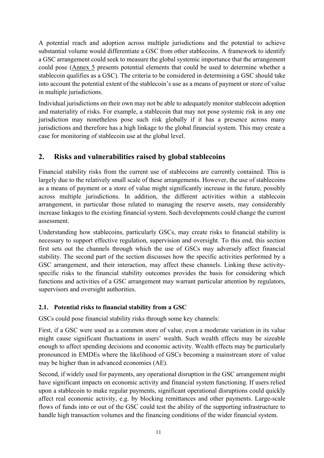A potential reach and adoption across multiple jurisdictions and the potential to achieve substantial volume would differentiate a GSC from other stablecoins. A framework to identify a GSC arrangement could seek to measure the global systemic importance that the arrangement could pose (Annex 5 presents potential elements that could be used to determine whether a stablecoin qualifies as a GSC). The criteria to be considered in determining a GSC should take into account the potential extent of the stablecoin's use as a means of payment or store of value in multiple jurisdictions.

Individual jurisdictions on their own may not be able to adequately monitor stablecoin adoption and materiality of risks. For example, a stablecoin that may not pose systemic risk in any one jurisdiction may nonetheless pose such risk globally if it has a presence across many jurisdictions and therefore has a high linkage to the global financial system. This may create a case for monitoring of stablecoin use at the global level.

# **2. Risks and vulnerabilities raised by global stablecoins**

Financial stability risks from the current use of stablecoins are currently contained. This is largely due to the relatively small scale of these arrangements. However, the use of stablecoins as a means of payment or a store of value might significantly increase in the future, possibly across multiple jurisdictions. In addition, the different activities within a stablecoin arrangement, in particular those related to managing the reserve assets, may considerably increase linkages to the existing financial system. Such developments could change the current assessment.

Understanding how stablecoins, particularly GSCs, may create risks to financial stability is necessary to support effective regulation, supervision and oversight. To this end, this section first sets out the channels through which the use of GSCs may adversely affect financial stability. The second part of the section discusses how the specific activities performed by a GSC arrangement, and their interaction, may affect these channels. Linking these activityspecific risks to the financial stability outcomes provides the basis for considering which functions and activities of a GSC arrangement may warrant particular attention by regulators, supervisors and oversight authorities.

# **2.1. Potential risks to financial stability from a GSC**

GSCs could pose financial stability risks through some key channels:

First, if a GSC were used as a common store of value, even a moderate variation in its value might cause significant fluctuations in users' wealth. Such wealth effects may be sizeable enough to affect spending decisions and economic activity. Wealth effects may be particularly pronounced in EMDEs where the likelihood of GSCs becoming a mainstream store of value may be higher than in advanced economies (AE).

Second, if widely used for payments, any operational disruption in the GSC arrangement might have significant impacts on economic activity and financial system functioning. If users relied upon a stablecoin to make regular payments, significant operational disruptions could quickly affect real economic activity, e.g. by blocking remittances and other payments. Large-scale flows of funds into or out of the GSC could test the ability of the supporting infrastructure to handle high transaction volumes and the financing conditions of the wider financial system.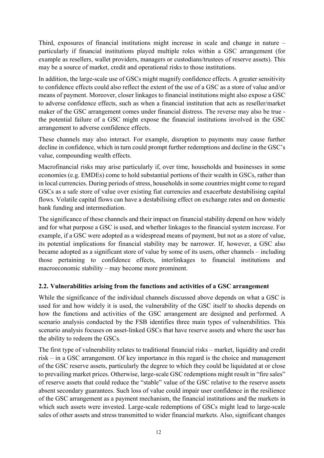Third, exposures of financial institutions might increase in scale and change in nature – particularly if financial institutions played multiple roles within a GSC arrangement (for example as resellers, wallet providers, managers or custodians/trustees of reserve assets). This may be a source of market, credit and operational risks to those institutions.

In addition, the large-scale use of GSCs might magnify confidence effects. A greater sensitivity to confidence effects could also reflect the extent of the use of a GSC as a store of value and/or means of payment. Moreover, closer linkages to financial institutions might also expose a GSC to adverse confidence effects, such as when a financial institution that acts as reseller/market maker of the GSC arrangement comes under financial distress. The reverse may also be true the potential failure of a GSC might expose the financial institutions involved in the GSC arrangement to adverse confidence effects.

These channels may also interact. For example, disruption to payments may cause further decline in confidence, which in turn could prompt further redemptions and decline in the GSC's value, compounding wealth effects.

Macrofinancial risks may arise particularly if, over time, households and businesses in some economies (e.g. EMDEs) come to hold substantial portions of their wealth in GSCs, rather than in local currencies. During periods of stress, households in some countries might come to regard GSCs as a safe store of value over existing fiat currencies and exacerbate destabilising capital flows. Volatile capital flows can have a destabilising effect on exchange rates and on domestic bank funding and intermediation.

The significance of these channels and their impact on financial stability depend on how widely and for what purpose a GSC is used, and whether linkages to the financial system increase. For example, if a GSC were adopted as a widespread means of payment, but not as a store of value, its potential implications for financial stability may be narrower. If, however, a GSC also became adopted as a significant store of value by some of its users, other channels – including those pertaining to confidence effects, interlinkages to financial institutions and macroeconomic stability – may become more prominent.

## **2.2. Vulnerabilities arising from the functions and activities of a GSC arrangement**

While the significance of the individual channels discussed above depends on what a GSC is used for and how widely it is used, the vulnerability of the GSC itself to shocks depends on how the functions and activities of the GSC arrangement are designed and performed. A scenario analysis conducted by the FSB identifies three main types of vulnerabilities. This scenario analysis focuses on asset-linked GSCs that have reserve assets and where the user has the ability to redeem the GSCs.

The first type of vulnerability relates to traditional financial risks – market, liquidity and credit risk – in a GSC arrangement. Of key importance in this regard is the choice and management of the GSC reserve assets, particularly the degree to which they could be liquidated at or close to prevailing market prices. Otherwise, large-scale GSC redemptions might result in "fire sales" of reserve assets that could reduce the "stable" value of the GSC relative to the reserve assets absent secondary guarantees. Such loss of value could impair user confidence in the resilience of the GSC arrangement as a payment mechanism, the financial institutions and the markets in which such assets were invested. Large-scale redemptions of GSCs might lead to large-scale sales of other assets and stress transmitted to wider financial markets. Also, significant changes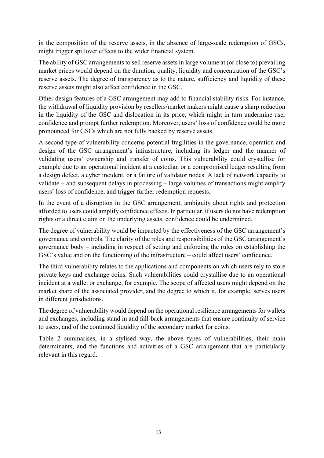in the composition of the reserve assets, in the absence of large-scale redemption of GSCs, might trigger spillover effects to the wider financial system.

The ability of GSC arrangements to sell reserve assets in large volume at (or close to) prevailing market prices would depend on the duration, quality, liquidity and concentration of the GSC's reserve assets. The degree of transparency as to the nature, sufficiency and liquidity of these reserve assets might also affect confidence in the GSC.

Other design features of a GSC arrangement may add to financial stability risks. For instance, the withdrawal of liquidity provision by resellers/market makers might cause a sharp reduction in the liquidity of the GSC and dislocation in its price, which might in turn undermine user confidence and prompt further redemption. Moreover, users' loss of confidence could be more pronounced for GSCs which are not fully backed by reserve assets.

A second type of vulnerability concerns potential fragilities in the governance, operation and design of the GSC arrangement's infrastructure, including its ledger and the manner of validating users' ownership and transfer of coins. This vulnerability could crystallise for example due to an operational incident at a custodian or a compromised ledger resulting from a design defect, a cyber incident, or a failure of validator nodes. A lack of network capacity to validate – and subsequent delays in processing – large volumes of transactions might amplify users' loss of confidence, and trigger further redemption requests.

In the event of a disruption in the GSC arrangement, ambiguity about rights and protection afforded to users could amplify confidence effects. In particular, if users do not have redemption rights or a direct claim on the underlying assets, confidence could be undermined.

The degree of vulnerability would be impacted by the effectiveness of the GSC arrangement's governance and controls. The clarity of the roles and responsibilities of the GSC arrangement's governance body – including in respect of setting and enforcing the rules on establishing the GSC's value and on the functioning of the infrastructure – could affect users' confidence.

The third vulnerability relates to the applications and components on which users rely to store private keys and exchange coins. Such vulnerabilities could crystallise due to an operational incident at a wallet or exchange, for example. The scope of affected users might depend on the market share of the associated provider, and the degree to which it, for example, serves users in different jurisdictions.

The degree of vulnerability would depend on the operational resilience arrangements for wallets and exchanges, including stand in and fall-back arrangements that ensure continuity of service to users, and of the continued liquidity of the secondary market for coins.

Table 2 summarises, in a stylised way, the above types of vulnerabilities, their main determinants, and the functions and activities of a GSC arrangement that are particularly relevant in this regard.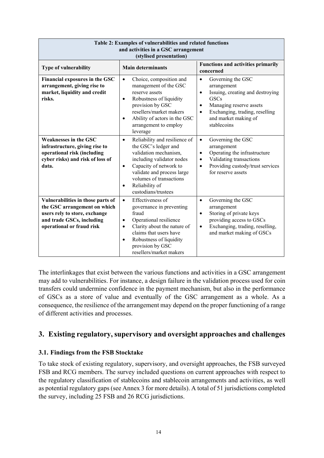| Table 2: Examples of vulnerabilities and related functions<br>and activities in a GSC arrangement<br>(stylised presentation)                                 |                                                                                                                                                                                                                                                                                |                                                                                                                                                                                                                                             |  |  |
|--------------------------------------------------------------------------------------------------------------------------------------------------------------|--------------------------------------------------------------------------------------------------------------------------------------------------------------------------------------------------------------------------------------------------------------------------------|---------------------------------------------------------------------------------------------------------------------------------------------------------------------------------------------------------------------------------------------|--|--|
| <b>Type of vulnerability</b>                                                                                                                                 | <b>Main determinants</b>                                                                                                                                                                                                                                                       | <b>Functions and activities primarily</b><br>concerned                                                                                                                                                                                      |  |  |
| Financial exposures in the GSC<br>arrangement, giving rise to<br>market, liquidity and credit<br>risks.                                                      | Choice, composition and<br>$\bullet$<br>management of the GSC<br>reserve assets<br>Robustness of liquidity<br>$\bullet$<br>provision by GSC<br>resellers/market makers<br>Ability of actors in the GSC<br>$\bullet$<br>arrangement to employ<br>leverage                       | Governing the GSC<br>$\bullet$<br>arrangement<br>Issuing, creating and destroying<br>$\bullet$<br><b>GSCs</b><br>Managing reserve assets<br>$\bullet$<br>Exchanging, trading, reselling<br>$\bullet$<br>and market making of<br>stablecoins |  |  |
| <b>Weaknesses in the GSC</b><br>infrastructure, giving rise to<br>operational risk (including<br>cyber risks) and risk of loss of<br>data.                   | Reliability and resilience of<br>$\bullet$<br>the GSC's ledger and<br>validation mechanism,<br>including validator nodes<br>Capacity of network to<br>$\bullet$<br>validate and process large<br>volumes of transactions<br>Reliability of<br>$\bullet$<br>custodians/trustees | Governing the GSC<br>$\bullet$<br>arrangement<br>Operating the infrastructure<br>$\bullet$<br>Validating transactions<br>$\bullet$<br>Providing custody/trust services<br>$\bullet$<br>for reserve assets                                   |  |  |
| Vulnerabilities in those parts of<br>the GSC arrangement on which<br>users rely to store, exchange<br>and trade GSCs, including<br>operational or fraud risk | Effectiveness of<br>$\bullet$<br>governance in preventing<br>fraud<br>Operational resilience<br>$\bullet$<br>Clarity about the nature of<br>$\bullet$<br>claims that users have<br>Robustness of liquidity<br>$\bullet$<br>provision by GSC<br>resellers/market makers         | Governing the GSC<br>$\bullet$<br>arrangement<br>Storing of private keys<br>$\bullet$<br>providing access to GSCs<br>Exchanging, trading, reselling,<br>$\bullet$<br>and market making of GSCs                                              |  |  |

The interlinkages that exist between the various functions and activities in a GSC arrangement may add to vulnerabilities. For instance, a design failure in the validation process used for coin transfers could undermine confidence in the payment mechanism, but also in the performance of GSCs as a store of value and eventually of the GSC arrangement as a whole. As a consequence, the resilience of the arrangement may depend on the proper functioning of a range of different activities and processes.

# **3. Existing regulatory, supervisory and oversight approaches and challenges**

#### **3.1. Findings from the FSB Stocktake**

To take stock of existing regulatory, supervisory, and oversight approaches, the FSB surveyed FSB and RCG members. The survey included questions on current approaches with respect to the regulatory classification of stablecoins and stablecoin arrangements and activities, as well as potential regulatory gaps (see Annex 3 for more details). A total of 51 jurisdictions completed the survey, including 25 FSB and 26 RCG jurisdictions.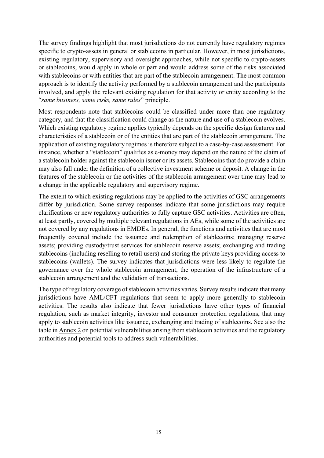The survey findings highlight that most jurisdictions do not currently have regulatory regimes specific to crypto-assets in general or stablecoins in particular. However, in most jurisdictions, existing regulatory, supervisory and oversight approaches, while not specific to crypto-assets or stablecoins, would apply in whole or part and would address some of the risks associated with stablecoins or with entities that are part of the stablecoin arrangement. The most common approach is to identify the activity performed by a stablecoin arrangement and the participants involved, and apply the relevant existing regulation for that activity or entity according to the "*same business, same risks, same rules*" principle.

Most respondents note that stablecoins could be classified under more than one regulatory category, and that the classification could change as the nature and use of a stablecoin evolves. Which existing regulatory regime applies typically depends on the specific design features and characteristics of a stablecoin or of the entities that are part of the stablecoin arrangement. The application of existing regulatory regimes is therefore subject to a case-by-case assessment. For instance, whether a "stablecoin" qualifies as e-money may depend on the nature of the claim of a stablecoin holder against the stablecoin issuer or its assets. Stablecoins that do provide a claim may also fall under the definition of a collective investment scheme or deposit. A change in the features of the stablecoin or the activities of the stablecoin arrangement over time may lead to a change in the applicable regulatory and supervisory regime.

The extent to which existing regulations may be applied to the activities of GSC arrangements differ by jurisdiction. Some survey responses indicate that some jurisdictions may require clarifications or new regulatory authorities to fully capture GSC activities. Activities are often, at least partly, covered by multiple relevant regulations in AEs, while some of the activities are not covered by any regulations in EMDEs. In general, the functions and activities that are most frequently covered include the issuance and redemption of stablecoins; managing reserve assets; providing custody/trust services for stablecoin reserve assets; exchanging and trading stablecoins (including reselling to retail users) and storing the private keys providing access to stablecoins (wallets). The survey indicates that jurisdictions were less likely to regulate the governance over the whole stablecoin arrangement, the operation of the infrastructure of a stablecoin arrangement and the validation of transactions.

The type of regulatory coverage of stablecoin activities varies. Survey results indicate that many jurisdictions have AML/CFT regulations that seem to apply more generally to stablecoin activities. The results also indicate that fewer jurisdictions have other types of financial regulation, such as market integrity, investor and consumer protection regulations, that may apply to stablecoin activities like issuance, exchanging and trading of stablecoins. See also the table in Annex 2 on potential vulnerabilities arising from stablecoin activities and the regulatory authorities and potential tools to address such vulnerabilities.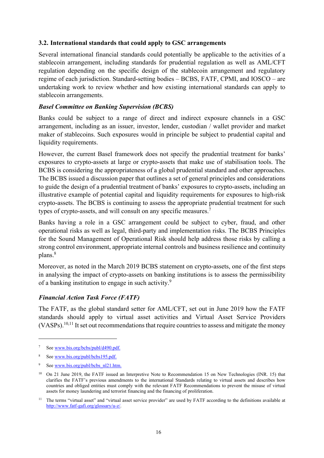#### **3.2. International standards that could apply to GSC arrangements**

Several international financial standards could potentially be applicable to the activities of a stablecoin arrangement, including standards for prudential regulation as well as AML/CFT regulation depending on the specific design of the stablecoin arrangement and regulatory regime of each jurisdiction. Standard-setting bodies – BCBS, FATF, CPMI, and IOSCO – are undertaking work to review whether and how existing international standards can apply to stablecoin arrangements.

#### *Basel Committee on Banking Supervision (BCBS)*

Banks could be subject to a range of direct and indirect exposure channels in a GSC arrangement, including as an issuer, investor, lender, custodian / wallet provider and market maker of stablecoins. Such exposures would in principle be subject to prudential capital and liquidity requirements.

However, the current Basel framework does not specify the prudential treatment for banks' exposures to crypto-assets at large or crypto-assets that make use of stabilisation tools. The BCBS is considering the appropriateness of a global prudential standard and other approaches. The BCBS issued a discussion paper that outlines a set of general principles and considerations to guide the design of a prudential treatment of banks' exposures to crypto-assets, including an illustrative example of potential capital and liquidity requirements for exposures to high-risk crypto-assets. The BCBS is continuing to assess the appropriate prudential treatment for such types of crypto-assets, and will consult on any specific measures.<sup>7</sup>

Banks having a role in a GSC arrangement could be subject to cyber, fraud, and other operational risks as well as legal, third-party and implementation risks. The BCBS Principles for the Sound Management of Operational Risk should help address those risks by calling a strong control environment, appropriate internal controls and business resilience and continuity plans.<sup>8</sup>

Moreover, as noted in the March 2019 BCBS statement on crypto-assets, one of the first steps in analysing the impact of crypto-assets on banking institutions is to assess the permissibility of a banking institution to engage in such activity.<sup>9</sup>

#### *Financial Action Task Force (FATF)*

The FATF, as the global standard setter for AML/CFT, set out in June 2019 how the FATF standards should apply to virtual asset activities and Virtual Asset Service Providers  $(VASPs).<sup>10,11</sup>$  It set out recommendations that require countries to assess and mitigate the money

<sup>&</sup>lt;sup>7</sup> See www.bis.org/bcbs/publ/d490.pdf.

<sup>8</sup> See www.bis.org/publ/bcbs195.pdf.

<sup>9</sup> See www.bis.org/publ/bcbs\_nl21.htm.

<sup>&</sup>lt;sup>10</sup> On 21 June 2019, the FATF issued an Interpretive Note to Recommendation 15 on New Technologies (INR. 15) that clarifies the FATF's previous amendments to the international Standards relating to virtual assets and describes how countries and obliged entities must comply with the relevant FATF Recommendations to prevent the misuse of virtual assets for money laundering and terrorist financing and the financing of proliferation.

<sup>&</sup>lt;sup>11</sup> The terms "virtual asset" and "virtual asset service provider" are used by FATF according to the definitions available at http://www.fatf-gafi.org/glossary/u-z/.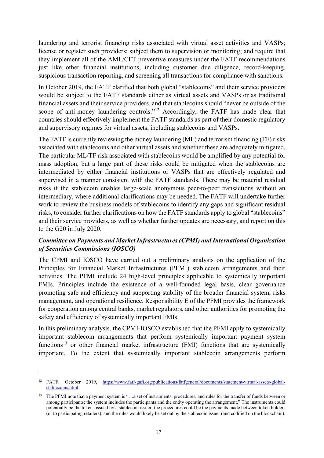laundering and terrorist financing risks associated with virtual asset activities and VASPs; license or register such providers; subject them to supervision or monitoring; and require that they implement all of the AML/CFT preventive measures under the FATF recommendations just like other financial institutions, including customer due diligence, record-keeping, suspicious transaction reporting, and screening all transactions for compliance with sanctions.

In October 2019, the FATF clarified that both global "stablecoins" and their service providers would be subject to the FATF standards either as virtual assets and VASPs or as traditional financial assets and their service providers, and that stablecoins should "never be outside of the scope of anti-money laundering controls."<sup>12</sup> Accordingly, the FATF has made clear that countries should effectively implement the FATF standards as part of their domestic regulatory and supervisory regimes for virtual assets, including stablecoins and VASPs.

The FATF is currently reviewing the money laundering (ML) and terrorism financing (TF) risks associated with stablecoins and other virtual assets and whether these are adequately mitigated. The particular ML/TF risk associated with stablecoins would be amplified by any potential for mass adoption, but a large part of these risks could be mitigated when the stablecoins are intermediated by either financial institutions or VASPs that are effectively regulated and supervised in a manner consistent with the FATF standards. There may be material residual risks if the stablecoin enables large-scale anonymous peer-to-peer transactions without an intermediary, where additional clarifications may be needed. The FATF will undertake further work to review the business models of stablecoins to identify any gaps and significant residual risks, to consider further clarifications on how the FATF standards apply to global "stablecoins" and their service providers, as well as whether further updates are necessary, and report on this to the G20 in July 2020.

## *Committee on Payments and Market Infrastructures (CPMI) and International Organization of Securities Commissions (IOSCO)*

The CPMI and IOSCO have carried out a preliminary analysis on the application of the Principles for Financial Market Infrastructures (PFMI) stablecoin arrangements and their activities. The PFMI include 24 high-level principles applicable to systemically important FMIs. Principles include the existence of a well-founded legal basis, clear governance promoting safe and efficiency and supporting stability of the broader financial system, risks management, and operational resilience. Responsibility E of the PFMI provides the framework for cooperation among central banks, market regulators, and other authorities for promoting the safety and efficiency of systemically important FMIs.

In this preliminary analysis, the CPMI-IOSCO established that the PFMI apply to systemically important stablecoin arrangements that perform systemically important payment system functions<sup>13</sup> or other financial market infrastructure (FMI) functions that are systemically important. To the extent that systemically important stablecoin arrangements perform

<sup>12</sup> FATF, October 2019, https://www.fatf-gafi.org/publications/fatfgeneral/documents/statement-virtual-assets-globalstablecoins.html.

<sup>13</sup> The PFMI note that a payment system is "...a set of instruments, procedures, and rules for the transfer of funds between or among participants; the system includes the participants and the entity operating the arrangement." The instruments could potentially be the tokens issued by a stablecoin issuer, the procedures could be the payments made between token holders (or to participating retailers), and the rules would likely be set out by the stablecoin issuer (and codified on the blockchain).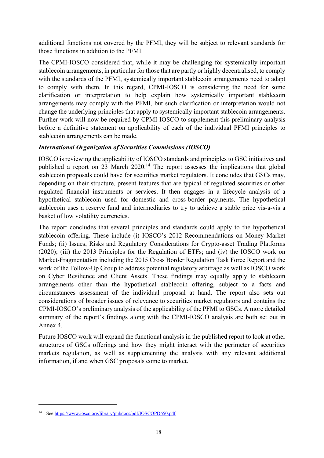additional functions not covered by the PFMI, they will be subject to relevant standards for those functions in addition to the PFMI.

The CPMI-IOSCO considered that, while it may be challenging for systemically important stablecoin arrangements, in particular for those that are partly or highly decentralised, to comply with the standards of the PFMI, systemically important stablecoin arrangements need to adapt to comply with them. In this regard, CPMI-IOSCO is considering the need for some clarification or interpretation to help explain how systemically important stablecoin arrangements may comply with the PFMI, but such clarification or interpretation would not change the underlying principles that apply to systemically important stablecoin arrangements. Further work will now be required by CPMI-IOSCO to supplement this preliminary analysis before a definitive statement on applicability of each of the individual PFMI principles to stablecoin arrangements can be made.

## *International Organization of Securities Commissions (IOSCO)*

IOSCO is reviewing the applicability of IOSCO standards and principles to GSC initiatives and published a report on 23 March 2020.<sup>14</sup> The report assesses the implications that global stablecoin proposals could have for securities market regulators. It concludes that GSCs may, depending on their structure, present features that are typical of regulated securities or other regulated financial instruments or services. It then engages in a lifecycle analysis of a hypothetical stablecoin used for domestic and cross-border payments. The hypothetical stablecoin uses a reserve fund and intermediaries to try to achieve a stable price vis-a-vis a basket of low volatility currencies.

The report concludes that several principles and standards could apply to the hypothetical stablecoin offering. These include (i) IOSCO's 2012 Recommendations on Money Market Funds; (ii) Issues, Risks and Regulatory Considerations for Crypto-asset Trading Platforms (2020); (iii) the 2013 Principles for the Regulation of ETFs; and (iv) the IOSCO work on Market-Fragmentation including the 2015 Cross Border Regulation Task Force Report and the work of the Follow-Up Group to address potential regulatory arbitrage as well as IOSCO work on Cyber Resilience and Client Assets. These findings may equally apply to stablecoin arrangements other than the hypothetical stablecoin offering, subject to a facts and circumstances assessment of the individual proposal at hand. The report also sets out considerations of broader issues of relevance to securities market regulators and contains the CPMI-IOSCO's preliminary analysis of the applicability of the PFMI to GSCs. A more detailed summary of the report's findings along with the CPMI-IOSCO analysis are both set out in Annex 4.

Future IOSCO work will expand the functional analysis in the published report to look at other structures of GSCs offerings and how they might interact with the perimeter of securities markets regulation, as well as supplementing the analysis with any relevant additional information, if and when GSC proposals come to market.

<sup>14</sup> See https://www.iosco.org/library/pubdocs/pdf/IOSCOPD650.pdf.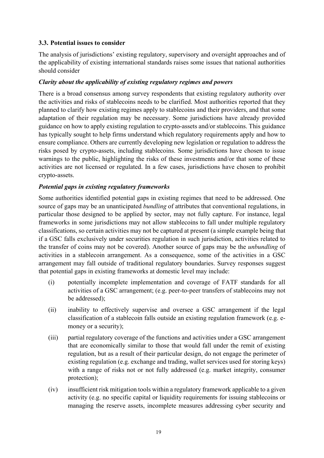#### **3.3. Potential issues to consider**

The analysis of jurisdictions' existing regulatory, supervisory and oversight approaches and of the applicability of existing international standards raises some issues that national authorities should consider

## *Clarity about the applicability of existing regulatory regimes and powers*

There is a broad consensus among survey respondents that existing regulatory authority over the activities and risks of stablecoins needs to be clarified. Most authorities reported that they planned to clarify how existing regimes apply to stablecoins and their providers, and that some adaptation of their regulation may be necessary. Some jurisdictions have already provided guidance on how to apply existing regulation to crypto-assets and/or stablecoins. This guidance has typically sought to help firms understand which regulatory requirements apply and how to ensure compliance. Others are currently developing new legislation or regulation to address the risks posed by crypto-assets, including stablecoins. Some jurisdictions have chosen to issue warnings to the public, highlighting the risks of these investments and/or that some of these activities are not licensed or regulated. In a few cases, jurisdictions have chosen to prohibit crypto-assets.

## *Potential gaps in existing regulatory frameworks*

Some authorities identified potential gaps in existing regimes that need to be addressed. One source of gaps may be an unanticipated *bundling* of attributes that conventional regulations, in particular those designed to be applied by sector, may not fully capture. For instance, legal frameworks in some jurisdictions may not allow stablecoins to fall under multiple regulatory classifications, so certain activities may not be captured at present (a simple example being that if a GSC falls exclusively under securities regulation in such jurisdiction, activities related to the transfer of coins may not be covered). Another source of gaps may be the *unbundling* of activities in a stablecoin arrangement. As a consequence, some of the activities in a GSC arrangement may fall outside of traditional regulatory boundaries. Survey responses suggest that potential gaps in existing frameworks at domestic level may include:

- (i) potentially incomplete implementation and coverage of FATF standards for all activities of a GSC arrangement; (e.g. peer-to-peer transfers of stablecoins may not be addressed);
- (ii) inability to effectively supervise and oversee a GSC arrangement if the legal classification of a stablecoin falls outside an existing regulation framework (e.g. emoney or a security);
- (iii) partial regulatory coverage of the functions and activities under a GSC arrangement that are economically similar to those that would fall under the remit of existing regulation, but as a result of their particular design, do not engage the perimeter of existing regulation (e.g. exchange and trading, wallet services used for storing keys) with a range of risks not or not fully addressed (e.g. market integrity, consumer protection);
- (iv) insufficient risk mitigation tools within a regulatory framework applicable to a given activity (e.g. no specific capital or liquidity requirements for issuing stablecoins or managing the reserve assets, incomplete measures addressing cyber security and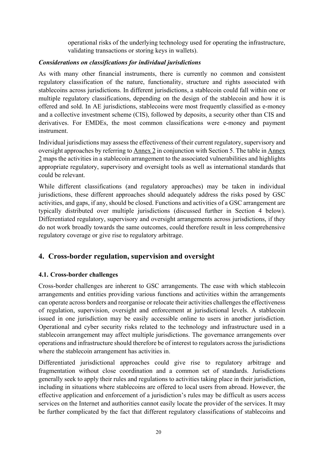operational risks of the underlying technology used for operating the infrastructure, validating transactions or storing keys in wallets).

## *Considerations on classifications for individual jurisdictions*

As with many other financial instruments, there is currently no common and consistent regulatory classification of the nature, functionality, structure and rights associated with stablecoins across jurisdictions. In different jurisdictions, a stablecoin could fall within one or multiple regulatory classifications, depending on the design of the stablecoin and how it is offered and sold. In AE jurisdictions, stablecoins were most frequently classified as e-money and a collective investment scheme (CIS), followed by deposits, a security other than CIS and derivatives. For EMDEs, the most common classifications were e-money and payment instrument.

Individual jurisdictions may assess the effectiveness of their current regulatory, supervisory and oversight approaches by referring to Annex 2 in conjunction with Section 5. The table in Annex 2 maps the activities in a stablecoin arrangement to the associated vulnerabilities and highlights appropriate regulatory, supervisory and oversight tools as well as international standards that could be relevant.

While different classifications (and regulatory approaches) may be taken in individual jurisdictions, these different approaches should adequately address the risks posed by GSC activities, and gaps, if any, should be closed. Functions and activities of a GSC arrangement are typically distributed over multiple jurisdictions (discussed further in Section 4 below). Differentiated regulatory, supervisory and oversight arrangements across jurisdictions, if they do not work broadly towards the same outcomes, could therefore result in less comprehensive regulatory coverage or give rise to regulatory arbitrage.

# **4. Cross-border regulation, supervision and oversight**

## **4.1. Cross-border challenges**

Cross-border challenges are inherent to GSC arrangements. The ease with which stablecoin arrangements and entities providing various functions and activities within the arrangements can operate across borders and reorganise or relocate their activities challenges the effectiveness of regulation, supervision, oversight and enforcement at jurisdictional levels. A stablecoin issued in one jurisdiction may be easily accessible online to users in another jurisdiction. Operational and cyber security risks related to the technology and infrastructure used in a stablecoin arrangement may affect multiple jurisdictions. The governance arrangements over operations and infrastructure should therefore be of interest to regulators across the jurisdictions where the stablecoin arrangement has activities in.

Differentiated jurisdictional approaches could give rise to regulatory arbitrage and fragmentation without close coordination and a common set of standards. Jurisdictions generally seek to apply their rules and regulations to activities taking place in their jurisdiction, including in situations where stablecoins are offered to local users from abroad. However, the effective application and enforcement of a jurisdiction's rules may be difficult as users access services on the Internet and authorities cannot easily locate the provider of the services. It may be further complicated by the fact that different regulatory classifications of stablecoins and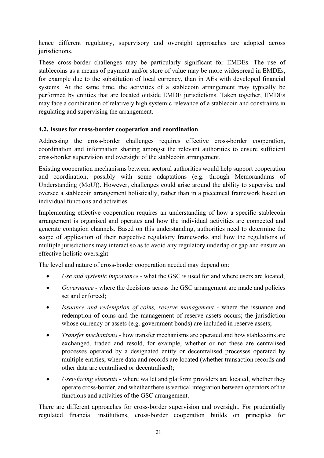hence different regulatory, supervisory and oversight approaches are adopted across jurisdictions.

These cross-border challenges may be particularly significant for EMDEs. The use of stablecoins as a means of payment and/or store of value may be more widespread in EMDEs, for example due to the substitution of local currency, than in AEs with developed financial systems. At the same time, the activities of a stablecoin arrangement may typically be performed by entities that are located outside EMDE jurisdictions. Taken together, EMDEs may face a combination of relatively high systemic relevance of a stablecoin and constraints in regulating and supervising the arrangement.

## **4.2. Issues for cross-border cooperation and coordination**

Addressing the cross-border challenges requires effective cross-border cooperation, coordination and information sharing amongst the relevant authorities to ensure sufficient cross-border supervision and oversight of the stablecoin arrangement.

Existing cooperation mechanisms between sectoral authorities would help support cooperation and coordination, possibly with some adaptations (e.g. through Memorandums of Understanding (MoU)). However, challenges could arise around the ability to supervise and oversee a stablecoin arrangement holistically, rather than in a piecemeal framework based on individual functions and activities.

Implementing effective cooperation requires an understanding of how a specific stablecoin arrangement is organised and operates and how the individual activities are connected and generate contagion channels. Based on this understanding, authorities need to determine the scope of application of their respective regulatory frameworks and how the regulations of multiple jurisdictions may interact so as to avoid any regulatory underlap or gap and ensure an effective holistic oversight.

The level and nature of cross-border cooperation needed may depend on:

- *Use and systemic importance* what the GSC is used for and where users are located;
- *Governance* where the decisions across the GSC arrangement are made and policies set and enforced;
- *Issuance and redemption of coins, reserve management* where the issuance and redemption of coins and the management of reserve assets occurs; the jurisdiction whose currency or assets (e.g. government bonds) are included in reserve assets;
- *Transfer mechanisms* how transfer mechanisms are operated and how stablecoins are exchanged, traded and resold, for example, whether or not these are centralised processes operated by a designated entity or decentralised processes operated by multiple entities; where data and records are located (whether transaction records and other data are centralised or decentralised);
- *User-facing elements* where wallet and platform providers are located, whether they operate cross-border, and whether there is vertical integration between operators of the functions and activities of the GSC arrangement.

There are different approaches for cross-border supervision and oversight. For prudentially regulated financial institutions, cross-border cooperation builds on principles for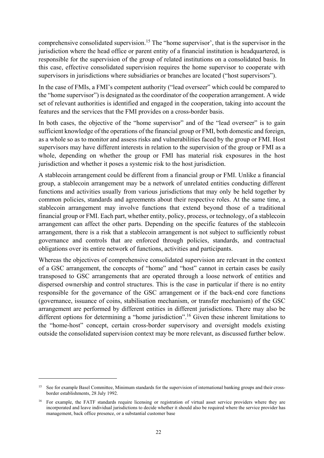comprehensive consolidated supervision.<sup>15</sup> The "home supervisor", that is the supervisor in the jurisdiction where the head office or parent entity of a financial institution is headquartered, is responsible for the supervision of the group of related institutions on a consolidated basis. In this case, effective consolidated supervision requires the home supervisor to cooperate with supervisors in jurisdictions where subsidiaries or branches are located ("host supervisors").

In the case of FMIs, a FMI's competent authority ("lead overseer" which could be compared to the "home supervisor") is designated as the coordinator of the cooperation arrangement. A wide set of relevant authorities is identified and engaged in the cooperation, taking into account the features and the services that the FMI provides on a cross-border basis.

In both cases, the objective of the "home supervisor" and of the "lead overseer" is to gain sufficient knowledge of the operations of the financial group or FMI, both domestic and foreign, as a whole so as to monitor and assess risks and vulnerabilities faced by the group or FMI. Host supervisors may have different interests in relation to the supervision of the group or FMI as a whole, depending on whether the group or FMI has material risk exposures in the host jurisdiction and whether it poses a systemic risk to the host jurisdiction.

A stablecoin arrangement could be different from a financial group or FMI. Unlike a financial group, a stablecoin arrangement may be a network of unrelated entities conducting different functions and activities usually from various jurisdictions that may only be held together by common policies, standards and agreements about their respective roles. At the same time, a stablecoin arrangement may involve functions that extend beyond those of a traditional financial group or FMI. Each part, whether entity, policy, process, or technology, of a stablecoin arrangement can affect the other parts. Depending on the specific features of the stablecoin arrangement, there is a risk that a stablecoin arrangement is not subject to sufficiently robust governance and controls that are enforced through policies, standards, and contractual obligations over its entire network of functions, activities and participants.

Whereas the objectives of comprehensive consolidated supervision are relevant in the context of a GSC arrangement, the concepts of "home" and "host" cannot in certain cases be easily transposed to GSC arrangements that are operated through a loose network of entities and dispersed ownership and control structures. This is the case in particular if there is no entity responsible for the governance of the GSC arrangement or if the back-end core functions (governance, issuance of coins, stabilisation mechanism, or transfer mechanism) of the GSC arrangement are performed by different entities in different jurisdictions. There may also be different options for determining a "home jurisdiction".<sup>16</sup> Given these inherent limitations to the "home-host" concept, certain cross-border supervisory and oversight models existing outside the consolidated supervision context may be more relevant, as discussed further below.

<sup>&</sup>lt;sup>15</sup> See for example Basel Committee, Minimum standards for the supervision of international banking groups and their crossborder establishments, 28 July 1992.

<sup>&</sup>lt;sup>16</sup> For example, the FATF standards require licensing or registration of virtual asset service providers where they are incorporated and leave individual jurisdictions to decide whether it should also be required where the service provider has management, back office presence, or a substantial customer base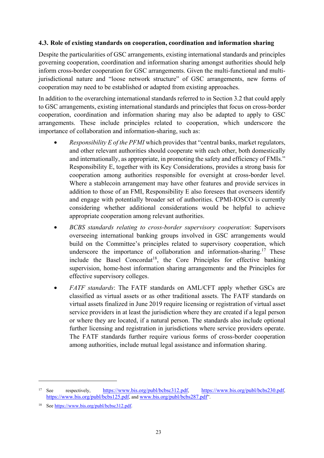#### **4.3. Role of existing standards on cooperation, coordination and information sharing**

Despite the particularities of GSC arrangements, existing international standards and principles governing cooperation, coordination and information sharing amongst authorities should help inform cross-border cooperation for GSC arrangements. Given the multi-functional and multijurisdictional nature and "loose network structure" of GSC arrangements, new forms of cooperation may need to be established or adapted from existing approaches.

In addition to the overarching international standards referred to in Section 3.2 that could apply to GSC arrangements, existing international standards and principles that focus on cross-border cooperation, coordination and information sharing may also be adapted to apply to GSC arrangements. These include principles related to cooperation, which underscore the importance of collaboration and information-sharing, such as:

- *Responsibility E of the PFMI* which provides that "central banks, market regulators, and other relevant authorities should cooperate with each other, both domestically and internationally, as appropriate, in promoting the safety and efficiency of FMIs." Responsibility E, together with its Key Considerations, provides a strong basis for cooperation among authorities responsible for oversight at cross-border level. Where a stablecoin arrangement may have other features and provide services in addition to those of an FMI, Responsibility E also foresees that overseers identify and engage with potentially broader set of authorities. CPMI-IOSCO is currently considering whether additional considerations would be helpful to achieve appropriate cooperation among relevant authorities.
- *BCBS standards relating to cross-border supervisory cooperation*: Supervisors overseeing international banking groups involved in GSC arrangements would build on the Committee's principles related to supervisory cooperation, which underscore the importance of collaboration and information-sharing.<sup>17</sup> These include the Basel Concordat<sup>18</sup>, the Core Principles for effective banking supervision, home-host information sharing arrangements and the Principles for effective supervisory colleges.
- *FATF standards*: The FATF standards on AML/CFT apply whether GSCs are classified as virtual assets or as other traditional assets. The FATF standards on virtual assets finalized in June 2019 require licensing or registration of virtual asset service providers in at least the jurisdiction where they are created if a legal person or where they are located, if a natural person. The standards also include optional further licensing and registration in jurisdictions where service providers operate. The FATF standards further require various forms of cross-border cooperation among authorities, include mutual legal assistance and information sharing.

<u>.</u>

<sup>17</sup> See respectively, https://www.bis.org/publ/bcbsc312.pdf, https://www.bis.org/publ/bcbs230.pdf, https://www.bis.org/publ/bcbs125.pdf, and www.bis.org/publ/bcbs287.pdf".

<sup>18</sup> See https://www.bis.org/publ/bcbsc312.pdf.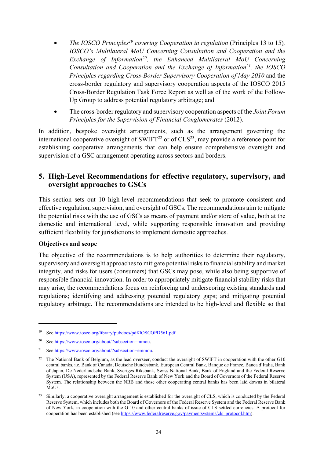- *The IOSCO Principles<sup>19</sup> covering Cooperation in regulation (Principles 13 to 15), IOSCO's Multilateral MoU Concerning Consultation and Cooperation and the Exchange of Information20, the Enhanced Multilateral MoU Concerning Consultation and Cooperation and the Exchange of Information21, the IOSCO Principles regarding Cross-Border Supervisory Cooperation of May 2010* and the cross-border regulatory and supervisory cooperation aspects of the IOSCO 2015 Cross-Border Regulation Task Force Report as well as of the work of the Follow-Up Group to address potential regulatory arbitrage; and
- The cross-border regulatory and supervisory cooperation aspects of the *Joint Forum Principles for the Supervision of Financial Conglomerates* (2012).

In addition, bespoke oversight arrangements, such as the arrangement governing the international cooperative oversight of  $SWIFT^{22}$  or of  $CLS^{23}$ , may provide a reference point for establishing cooperative arrangements that can help ensure comprehensive oversight and supervision of a GSC arrangement operating across sectors and borders.

# **5. High-Level Recommendations for effective regulatory, supervisory, and oversight approaches to GSCs**

This section sets out 10 high-level recommendations that seek to promote consistent and effective regulation, supervision, and oversight of GSCs. The recommendations aim to mitigate the potential risks with the use of GSCs as means of payment and/or store of value, both at the domestic and international level, while supporting responsible innovation and providing sufficient flexibility for jurisdictions to implement domestic approaches.

#### **Objectives and scope**

1

The objective of the recommendations is to help authorities to determine their regulatory, supervisory and oversight approaches to mitigate potential risks to financial stability and market integrity, and risks for users (consumers) that GSCs may pose, while also being supportive of responsible financial innovation. In order to appropriately mitigate financial stability risks that may arise, the recommendations focus on reinforcing and underscoring existing standards and regulations; identifying and addressing potential regulatory gaps; and mitigating potential regulatory arbitrage. The recommendations are intended to be high-level and flexible so that

<sup>19</sup> See https://www.iosco.org/library/pubdocs/pdf/IOSCOPD561.pdf.

<sup>20</sup> See https://www.iosco.org/about/?subsection=mmou.

See https://www.iosco.org/about/?subsection=emmou.

<sup>&</sup>lt;sup>22</sup> The National Bank of Belgium, as the lead overseer, conduct the oversight of SWIFT in cooperation with the other G10 central banks, i.e. Bank of Canada, Deutsche Bundesbank, European Central Bank, Banque de France, Banca d'Italia, Bank of Japan, De Nederlandsche Bank, Sveriges Riksbank, Swiss National Bank, Bank of England and the Federal Reserve System (USA), represented by the Federal Reserve Bank of New York and the Board of Governors of the Federal Reserve System. The relationship between the NBB and those other cooperating central banks has been laid downs in bilateral MoUs.

<sup>&</sup>lt;sup>23</sup> Similarly, a cooperative oversight arrangement is established for the oversight of CLS, which is conducted by the Federal Reserve System, which includes both the Board of Governors of the Federal Reserve System and the Federal Reserve Bank of New York, in cooperation with the G-10 and other central banks of issue of CLS-settled currencies. A protocol for cooperation has been established (see https://www.federalreserve.gov/paymentsystems/cls\_protocol.htm).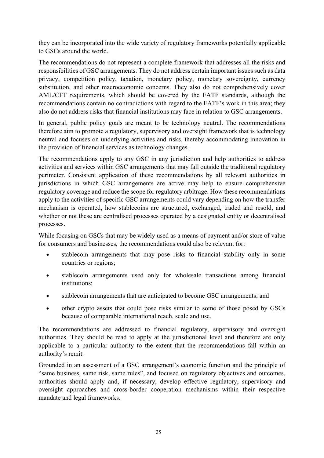they can be incorporated into the wide variety of regulatory frameworks potentially applicable to GSCs around the world.

The recommendations do not represent a complete framework that addresses all the risks and responsibilities of GSC arrangements. They do not address certain important issues such as data privacy, competition policy, taxation, monetary policy, monetary sovereignty, currency substitution, and other macroeconomic concerns. They also do not comprehensively cover AML/CFT requirements, which should be covered by the FATF standards, although the recommendations contain no contradictions with regard to the FATF's work in this area; they also do not address risks that financial institutions may face in relation to GSC arrangements.

In general, public policy goals are meant to be technology neutral. The recommendations therefore aim to promote a regulatory, supervisory and oversight framework that is technology neutral and focuses on underlying activities and risks, thereby accommodating innovation in the provision of financial services as technology changes.

The recommendations apply to any GSC in any jurisdiction and help authorities to address activities and services within GSC arrangements that may fall outside the traditional regulatory perimeter. Consistent application of these recommendations by all relevant authorities in jurisdictions in which GSC arrangements are active may help to ensure comprehensive regulatory coverage and reduce the scope for regulatory arbitrage. How these recommendations apply to the activities of specific GSC arrangements could vary depending on how the transfer mechanism is operated, how stablecoins are structured, exchanged, traded and resold, and whether or not these are centralised processes operated by a designated entity or decentralised processes.

While focusing on GSCs that may be widely used as a means of payment and/or store of value for consumers and businesses, the recommendations could also be relevant for:

- stablecoin arrangements that may pose risks to financial stability only in some countries or regions;
- stablecoin arrangements used only for wholesale transactions among financial institutions;
- stablecoin arrangements that are anticipated to become GSC arrangements; and
- other crypto assets that could pose risks similar to some of those posed by GSCs because of comparable international reach, scale and use.

The recommendations are addressed to financial regulatory, supervisory and oversight authorities. They should be read to apply at the jurisdictional level and therefore are only applicable to a particular authority to the extent that the recommendations fall within an authority's remit.

Grounded in an assessment of a GSC arrangement's economic function and the principle of "same business, same risk, same rules", and focused on regulatory objectives and outcomes, authorities should apply and, if necessary, develop effective regulatory, supervisory and oversight approaches and cross-border cooperation mechanisms within their respective mandate and legal frameworks.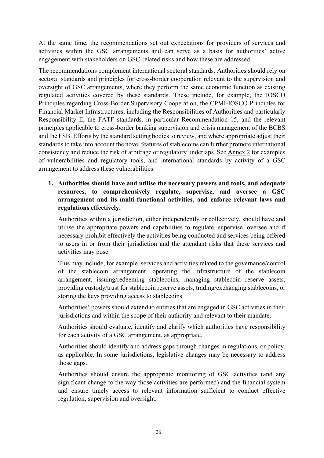At the same time, the recommendations set out expectations for providers of services and activities within the GSC arrangements and can serve as a basis for authorities' active engagement with stakeholders on GSC-related risks and how these are addressed.

The recommendations complement international sectoral standards. Authorities should rely on sectoral standards and principles for cross-border cooperation relevant to the supervision and oversight of GSC arrangements, where they perform the same economic function as existing regulated activities covered by these standards. These include, for example, the IOSCO Principles regarding Cross-Border Supervisory Cooperation, the CPMI-IOSCO Principles for Financial Market Infrastructures, including the Responsibilities of Authorities and particularly Responsibility E, the FATF standards, in particular Recommendation 15, and the relevant principles applicable to cross-border banking supervision and crisis management of the BCBS and the FSB. Efforts by the standard setting bodies to review, and where appropriate adjust their standards to take into account the novel features of stablecoins can further promote international consistency and reduce the risk of arbitrage or regulatory underlaps. See Annex 2 for examples of vulnerabilities and regulatory tools, and international standards by activity of a GSC arrangement to address these vulnerabilities.

## **1. Authorities should have and utilise the necessary powers and tools, and adequate resources, to comprehensively regulate, supervise, and oversee a GSC arrangement and its multi-functional activities, and enforce relevant laws and regulations effectively.**

Authorities within a jurisdiction, either independently or collectively, should have and utilise the appropriate powers and capabilities to regulate, supervise, oversee and if necessary prohibit effectively the activities being conducted and services being offered to users in or from their jurisdiction and the attendant risks that these services and activities may pose.

This may include, for example, services and activities related to the governance/control of the stablecoin arrangement, operating the infrastructure of the stablecoin arrangement, issuing/redeeming stablecoins, managing stablecoin reserve assets, providing custody/trust for stablecoin reserve assets, trading/exchanging stablecoins, or storing the keys providing access to stablecoins.

Authorities' powers should extend to entities that are engaged in GSC activities in their jurisdictions and within the scope of their authority and relevant to their mandate.

Authorities should evaluate, identify and clarify which authorities have responsibility for each activity of a GSC arrangement, as appropriate.

Authorities should identify and address gaps through changes in regulations, or policy, as applicable. In some jurisdictions, legislative changes may be necessary to address those gaps.

Authorities should ensure the appropriate monitoring of GSC activities (and any significant change to the way those activities are performed) and the financial system and ensure timely access to relevant information sufficient to conduct effective regulation, supervision and oversight.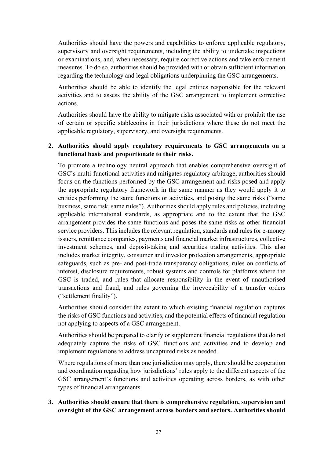Authorities should have the powers and capabilities to enforce applicable regulatory, supervisory and oversight requirements, including the ability to undertake inspections or examinations, and, when necessary, require corrective actions and take enforcement measures. To do so, authorities should be provided with or obtain sufficient information regarding the technology and legal obligations underpinning the GSC arrangements.

Authorities should be able to identify the legal entities responsible for the relevant activities and to assess the ability of the GSC arrangement to implement corrective actions.

Authorities should have the ability to mitigate risks associated with or prohibit the use of certain or specific stablecoins in their jurisdictions where these do not meet the applicable regulatory, supervisory, and oversight requirements.

## **2. Authorities should apply regulatory requirements to GSC arrangements on a functional basis and proportionate to their risks.**

To promote a technology neutral approach that enables comprehensive oversight of GSC's multi-functional activities and mitigates regulatory arbitrage, authorities should focus on the functions performed by the GSC arrangement and risks posed and apply the appropriate regulatory framework in the same manner as they would apply it to entities performing the same functions or activities, and posing the same risks ("same business, same risk, same rules"). Authorities should apply rules and policies, including applicable international standards, as appropriate and to the extent that the GSC arrangement provides the same functions and poses the same risks as other financial service providers. This includes the relevant regulation, standards and rules for e-money issuers, remittance companies, payments and financial market infrastructures, collective investment schemes, and deposit-taking and securities trading activities. This also includes market integrity, consumer and investor protection arrangements, appropriate safeguards, such as pre- and post-trade transparency obligations, rules on conflicts of interest, disclosure requirements, robust systems and controls for platforms where the GSC is traded, and rules that allocate responsibility in the event of unauthorised transactions and fraud, and rules governing the irrevocability of a transfer orders ("settlement finality").

Authorities should consider the extent to which existing financial regulation captures the risks of GSC functions and activities, and the potential effects of financial regulation not applying to aspects of a GSC arrangement.

Authorities should be prepared to clarify or supplement financial regulations that do not adequately capture the risks of GSC functions and activities and to develop and implement regulations to address uncaptured risks as needed.

Where regulations of more than one jurisdiction may apply, there should be cooperation and coordination regarding how jurisdictions' rules apply to the different aspects of the GSC arrangement's functions and activities operating across borders, as with other types of financial arrangements.

**3. Authorities should ensure that there is comprehensive regulation, supervision and oversight of the GSC arrangement across borders and sectors. Authorities should**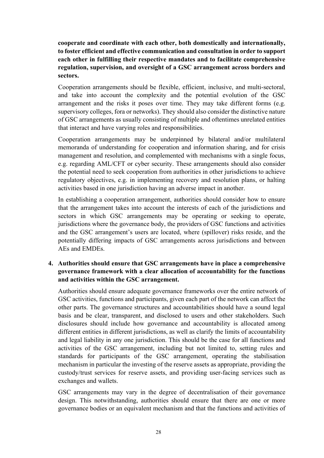**cooperate and coordinate with each other, both domestically and internationally, to foster efficient and effective communication and consultation in order to support each other in fulfilling their respective mandates and to facilitate comprehensive regulation, supervision, and oversight of a GSC arrangement across borders and sectors.** 

Cooperation arrangements should be flexible, efficient, inclusive, and multi-sectoral, and take into account the complexity and the potential evolution of the GSC arrangement and the risks it poses over time. They may take different forms (e.g. supervisory colleges, fora or networks). They should also consider the distinctive nature of GSC arrangements as usually consisting of multiple and oftentimes unrelated entities that interact and have varying roles and responsibilities.

Cooperation arrangements may be underpinned by bilateral and/or multilateral memoranda of understanding for cooperation and information sharing, and for crisis management and resolution, and complemented with mechanisms with a single focus, e.g. regarding AML/CFT or cyber security. These arrangements should also consider the potential need to seek cooperation from authorities in other jurisdictions to achieve regulatory objectives, e.g. in implementing recovery and resolution plans, or halting activities based in one jurisdiction having an adverse impact in another.

In establishing a cooperation arrangement, authorities should consider how to ensure that the arrangement takes into account the interests of each of the jurisdictions and sectors in which GSC arrangements may be operating or seeking to operate, jurisdictions where the governance body, the providers of GSC functions and activities and the GSC arrangement's users are located, where (spillover) risks reside, and the potentially differing impacts of GSC arrangements across jurisdictions and between AEs and EMDEs.

## **4. Authorities should ensure that GSC arrangements have in place a comprehensive governance framework with a clear allocation of accountability for the functions and activities within the GSC arrangement.**

Authorities should ensure adequate governance frameworks over the entire network of GSC activities, functions and participants, given each part of the network can affect the other parts. The governance structures and accountabilities should have a sound legal basis and be clear, transparent, and disclosed to users and other stakeholders. Such disclosures should include how governance and accountability is allocated among different entities in different jurisdictions, as well as clarify the limits of accountability and legal liability in any one jurisdiction. This should be the case for all functions and activities of the GSC arrangement, including but not limited to, setting rules and standards for participants of the GSC arrangement, operating the stabilisation mechanism in particular the investing of the reserve assets as appropriate, providing the custody/trust services for reserve assets, and providing user-facing services such as exchanges and wallets.

GSC arrangements may vary in the degree of decentralisation of their governance design. This notwithstanding, authorities should ensure that there are one or more governance bodies or an equivalent mechanism and that the functions and activities of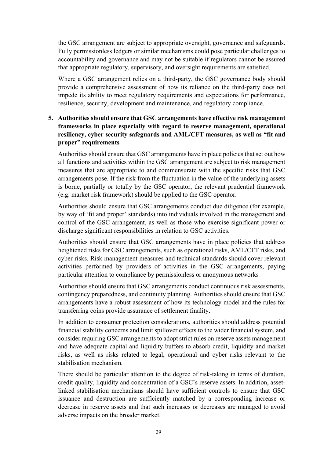the GSC arrangement are subject to appropriate oversight, governance and safeguards. Fully permissionless ledgers or similar mechanisms could pose particular challenges to accountability and governance and may not be suitable if regulators cannot be assured that appropriate regulatory, supervisory, and oversight requirements are satisfied.

Where a GSC arrangement relies on a third-party, the GSC governance body should provide a comprehensive assessment of how its reliance on the third-party does not impede its ability to meet regulatory requirements and expectations for performance, resilience, security, development and maintenance, and regulatory compliance.

## **5. Authorities should ensure that GSC arrangements have effective risk management frameworks in place especially with regard to reserve management, operational resiliency, cyber security safeguards and AML/CFT measures, as well as "fit and proper" requirements**

Authorities should ensure that GSC arrangements have in place policies that set out how all functions and activities within the GSC arrangement are subject to risk management measures that are appropriate to and commensurate with the specific risks that GSC arrangements pose. If the risk from the fluctuation in the value of the underlying assets is borne, partially or totally by the GSC operator, the relevant prudential framework (e.g. market risk framework) should be applied to the GSC operator.

Authorities should ensure that GSC arrangements conduct due diligence (for example, by way of 'fit and proper' standards) into individuals involved in the management and control of the GSC arrangement, as well as those who exercise significant power or discharge significant responsibilities in relation to GSC activities.

Authorities should ensure that GSC arrangements have in place policies that address heightened risks for GSC arrangements, such as operational risks, AML/CFT risks, and cyber risks. Risk management measures and technical standards should cover relevant activities performed by providers of activities in the GSC arrangements, paying particular attention to compliance by permissionless or anonymous networks

Authorities should ensure that GSC arrangements conduct continuous risk assessments, contingency preparedness, and continuity planning. Authorities should ensure that GSC arrangements have a robust assessment of how its technology model and the rules for transferring coins provide assurance of settlement finality.

In addition to consumer protection considerations, authorities should address potential financial stability concerns and limit spillover effects to the wider financial system, and consider requiring GSC arrangements to adopt strict rules on reserve assets management and have adequate capital and liquidity buffers to absorb credit, liquidity and market risks, as well as risks related to legal, operational and cyber risks relevant to the stabilisation mechanism.

There should be particular attention to the degree of risk-taking in terms of duration, credit quality, liquidity and concentration of a GSC's reserve assets. In addition, assetlinked stabilisation mechanisms should have sufficient controls to ensure that GSC issuance and destruction are sufficiently matched by a corresponding increase or decrease in reserve assets and that such increases or decreases are managed to avoid adverse impacts on the broader market.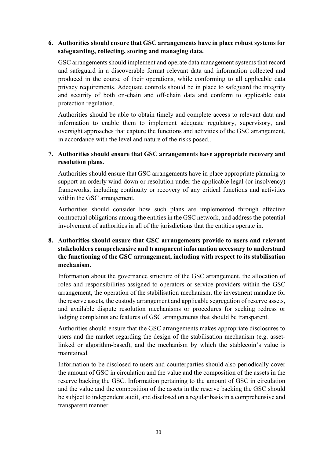## **6. Authorities should ensure that GSC arrangements have in place robust systems for safeguarding, collecting, storing and managing data.**

GSC arrangements should implement and operate data management systems that record and safeguard in a discoverable format relevant data and information collected and produced in the course of their operations, while conforming to all applicable data privacy requirements. Adequate controls should be in place to safeguard the integrity and security of both on-chain and off-chain data and conform to applicable data protection regulation.

Authorities should be able to obtain timely and complete access to relevant data and information to enable them to implement adequate regulatory, supervisory, and oversight approaches that capture the functions and activities of the GSC arrangement, in accordance with the level and nature of the risks posed..

## **7. Authorities should ensure that GSC arrangements have appropriate recovery and resolution plans.**

Authorities should ensure that GSC arrangements have in place appropriate planning to support an orderly wind-down or resolution under the applicable legal (or insolvency) frameworks, including continuity or recovery of any critical functions and activities within the GSC arrangement.

Authorities should consider how such plans are implemented through effective contractual obligations among the entities in the GSC network, and address the potential involvement of authorities in all of the jurisdictions that the entities operate in.

## **8. Authorities should ensure that GSC arrangements provide to users and relevant stakeholders comprehensive and transparent information necessary to understand the functioning of the GSC arrangement, including with respect to its stabilisation mechanism.**

Information about the governance structure of the GSC arrangement, the allocation of roles and responsibilities assigned to operators or service providers within the GSC arrangement, the operation of the stabilisation mechanism, the investment mandate for the reserve assets, the custody arrangement and applicable segregation of reserve assets, and available dispute resolution mechanisms or procedures for seeking redress or lodging complaints are features of GSC arrangements that should be transparent.

Authorities should ensure that the GSC arrangements makes appropriate disclosures to users and the market regarding the design of the stabilisation mechanism (e.g. assetlinked or algorithm-based), and the mechanism by which the stablecoin's value is maintained.

Information to be disclosed to users and counterparties should also periodically cover the amount of GSC in circulation and the value and the composition of the assets in the reserve backing the GSC. Information pertaining to the amount of GSC in circulation and the value and the composition of the assets in the reserve backing the GSC should be subject to independent audit, and disclosed on a regular basis in a comprehensive and transparent manner.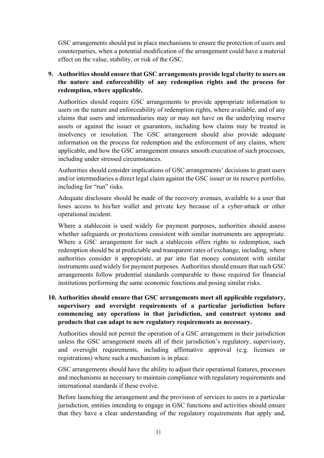GSC arrangements should put in place mechanisms to ensure the protection of users and counterparties, when a potential modification of the arrangement could have a material effect on the value, stability, or risk of the GSC.

## **9. Authorities should ensure that GSC arrangements provide legal clarity to users on the nature and enforceability of any redemption rights and the process for redemption, where applicable.**

Authorities should require GSC arrangements to provide appropriate information to users on the nature and enforceability of redemption rights, where available, and of any claims that users and intermediaries may or may not have on the underlying reserve assets or against the issuer or guarantors, including how claims may be treated in insolvency or resolution. The GSC arrangement should also provide adequate information on the process for redemption and the enforcement of any claims, where applicable, and how the GSC arrangement ensures smooth execution of such processes, including under stressed circumstances.

Authorities should consider implications of GSC arrangements' decisions to grant users and/or intermediaries a direct legal claim against the GSC issuer or its reserve portfolio, including for "run" risks.

Adequate disclosure should be made of the recovery avenues, available to a user that loses access to his/her wallet and private key because of a cyber-attack or other operational incident.

Where a stablecoin is used widely for payment purposes, authorities should assess whether safeguards or protections consistent with similar instruments are appropriate. Where a GSC arrangement for such a stablecoin offers rights to redemption, such redemption should be at predictable and transparent rates of exchange, including, where authorities consider it appropriate, at par into fiat money consistent with similar instruments used widely for payment purposes. Authorities should ensure that such GSC arrangements follow prudential standards comparable to those required for financial institutions performing the same economic functions and posing similar risks.

## **10. Authorities should ensure that GSC arrangements meet all applicable regulatory, supervisory and oversight requirements of a particular jurisdiction before commencing any operations in that jurisdiction, and construct systems and products that can adapt to new regulatory requirements as necessary.**

Authorities should not permit the operation of a GSC arrangement in their jurisdiction unless the GSC arrangement meets all of their jurisdiction's regulatory, supervisory, and oversight requirements, including affirmative approval (e.g. licenses or registrations) where such a mechanism is in place.

GSC arrangements should have the ability to adjust their operational features, processes and mechanisms as necessary to maintain compliance with regulatory requirements and international standards if these evolve.

Before launching the arrangement and the provision of services to users in a particular jurisdiction, entities intending to engage in GSC functions and activities should ensure that they have a clear understanding of the regulatory requirements that apply and,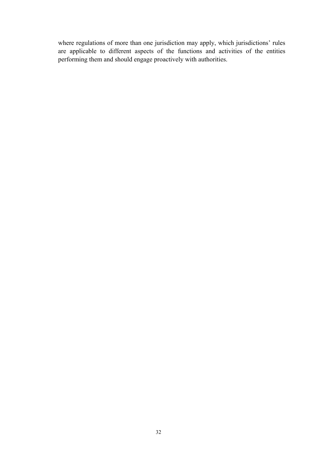where regulations of more than one jurisdiction may apply, which jurisdictions' rules are applicable to different aspects of the functions and activities of the entities performing them and should engage proactively with authorities.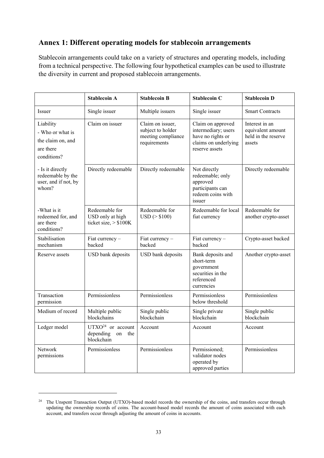# **Annex 1: Different operating models for stablecoin arrangements**

Stablecoin arrangements could take on a variety of structures and operating models, including from a technical perspective. The following four hypothetical examples can be used to illustrate the diversity in current and proposed stablecoin arrangements.

|                                                                                | <b>Stablecoin A</b>                                                                            | <b>Stablecoin B</b>             | <b>Stablecoin C</b>                                                                                     | <b>Stablecoin D</b>                                                  |
|--------------------------------------------------------------------------------|------------------------------------------------------------------------------------------------|---------------------------------|---------------------------------------------------------------------------------------------------------|----------------------------------------------------------------------|
| Issuer                                                                         | Single issuer                                                                                  | Multiple issuers                | Single issuer                                                                                           | <b>Smart Contracts</b>                                               |
| Liability<br>- Who or what is<br>the claim on, and<br>are there<br>conditions? | Claim on issuer<br>Claim on issuer,<br>subject to holder<br>meeting compliance<br>requirements |                                 | Claim on approved<br>intermediary; users<br>have no rights or<br>claims on underlying<br>reserve assets | Interest in an<br>equivalent amount<br>held in the reserve<br>assets |
| - Is it directly<br>redeemable by the<br>user, and if not, by<br>whom?         | Directly redeemable                                                                            | Directly redeemable             | Not directly<br>redeemable; only<br>approved<br>participants can<br>redeem coins with<br>issuer         | Directly redeemable                                                  |
| -What is it<br>redeemed for, and<br>are there<br>conditions?                   | Redeemable for<br>USD only at high<br>ticket size, $> $100K$                                   | Redeemable for<br>USD (> \$100) | Redeemable for local<br>fiat currency                                                                   | Redeemable for<br>another crypto-asset                               |
| Stabilisation<br>mechanism                                                     | Fiat currency -<br>backed                                                                      | Fiat currency -<br>backed       | Fiat currency -<br>backed                                                                               | Crypto-asset backed                                                  |
| Reserve assets                                                                 | USD bank deposits                                                                              | USD bank deposits               | Bank deposits and<br>short-term<br>government<br>securities in the<br>referenced<br>currencies          | Another crypto-asset                                                 |
| Transaction<br>permission                                                      | Permissionless                                                                                 | Permissionless                  | Permissionless<br>below threshold                                                                       | Permissionless                                                       |
| Medium of record                                                               | Multiple public<br>blockchains                                                                 | Single public<br>blockchain     | Single private<br><b>blockchain</b>                                                                     | Single public<br>blockchain                                          |
| Ledger model                                                                   | $UTXO24$ or account<br>depending<br>on<br>the<br>blockchain                                    | Account                         | Account                                                                                                 | Account                                                              |
| Network<br>permissions                                                         | Permissionless                                                                                 | Permissionless                  | Permissioned;<br>validator nodes<br>operated by<br>approved parties                                     | Permissionless                                                       |

<u>.</u>

<sup>&</sup>lt;sup>24</sup> The Unspent Transaction Output (UTXO)-based model records the ownership of the coins, and transfers occur through updating the ownership records of coins. The account-based model records the amount of coins associated with each account, and transfers occur through adjusting the amount of coins in accounts.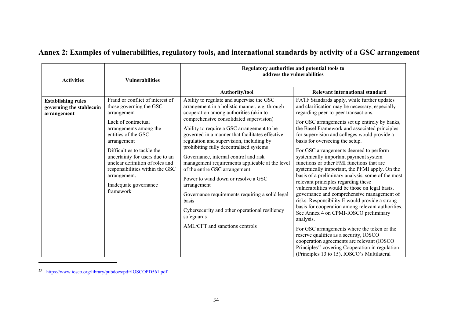| <b>Activities</b>                                                    | <b>Vulnerabilities</b>                                                                                                                                                                                                                                                                                                                                         | Regulatory authorities and potential tools to<br>address the vulnerabilities                                                                                                                                                                                                                                                                                                                                                                                                                                                                                                                                                                                                                                              |                                                                                                                                                                                                                                                                                                                                                                                                                                                                                                                                                                                                                                                                                                                                                                                                                                                                                                                                                                                                                                                                                                                             |  |
|----------------------------------------------------------------------|----------------------------------------------------------------------------------------------------------------------------------------------------------------------------------------------------------------------------------------------------------------------------------------------------------------------------------------------------------------|---------------------------------------------------------------------------------------------------------------------------------------------------------------------------------------------------------------------------------------------------------------------------------------------------------------------------------------------------------------------------------------------------------------------------------------------------------------------------------------------------------------------------------------------------------------------------------------------------------------------------------------------------------------------------------------------------------------------------|-----------------------------------------------------------------------------------------------------------------------------------------------------------------------------------------------------------------------------------------------------------------------------------------------------------------------------------------------------------------------------------------------------------------------------------------------------------------------------------------------------------------------------------------------------------------------------------------------------------------------------------------------------------------------------------------------------------------------------------------------------------------------------------------------------------------------------------------------------------------------------------------------------------------------------------------------------------------------------------------------------------------------------------------------------------------------------------------------------------------------------|--|
|                                                                      |                                                                                                                                                                                                                                                                                                                                                                | Authority/tool                                                                                                                                                                                                                                                                                                                                                                                                                                                                                                                                                                                                                                                                                                            | Relevant international standard                                                                                                                                                                                                                                                                                                                                                                                                                                                                                                                                                                                                                                                                                                                                                                                                                                                                                                                                                                                                                                                                                             |  |
| <b>Establishing rules</b><br>governing the stablecoin<br>arrangement | Fraud or conflict of interest of<br>those governing the GSC<br>arrangement<br>Lack of contractual<br>arrangements among the<br>entities of the GSC<br>arrangement<br>Difficulties to tackle the<br>uncertainty for users due to an<br>unclear definition of roles and<br>responsibilities within the GSC<br>arrangement.<br>Inadequate governance<br>framework | Ability to regulate and supervise the GSC<br>arrangement in a holistic manner, e.g. through<br>cooperation among authorities (akin to<br>comprehensive consolidated supervision)<br>Ability to require a GSC arrangement to be<br>governed in a manner that facilitates effective<br>regulation and supervision, including by<br>prohibiting fully decentralised systems<br>Governance, internal control and risk<br>management requirements applicable at the level<br>of the entire GSC arrangement<br>Power to wind down or resolve a GSC<br>arrangement<br>Governance requirements requiring a solid legal<br>basis<br>Cybersecurity and other operational resiliency<br>safeguards<br>AML/CFT and sanctions controls | FATF Standards apply, while further updates<br>and clarification may be necessary, especially<br>regarding peer-to-peer transactions.<br>For GSC arrangements set up entirely by banks,<br>the Basel Framework and associated principles<br>for supervision and colleges would provide a<br>basis for overseeing the setup.<br>For GSC arrangements deemed to perform<br>systemically important payment system<br>functions or other FMI functions that are<br>systemically important, the PFMI apply. On the<br>basis of a preliminary analysis, some of the most<br>relevant principles regarding these<br>vulnerabilities would be those on legal basis,<br>governance and comprehensive management of<br>risks. Responsibility E would provide a strong<br>basis for cooperation among relevant authorities.<br>See Annex 4 on CPMI-IOSCO preliminary<br>analysis.<br>For GSC arrangements where the token or the<br>reserve qualifies as a security, IOSCO<br>cooperation agreements are relevant (IOSCO<br>Principles <sup>25</sup> covering Cooperation in regulation<br>(Principles 13 to 15), IOSCO's Multilateral |  |

# **Annex 2: Examples of vulnerabilities, regulatory tools, and international standards by activity of a GSC arrangement**

<sup>25</sup> https://www.iosco.org/library/pubdocs/pdf/IOSCOPD561.pdf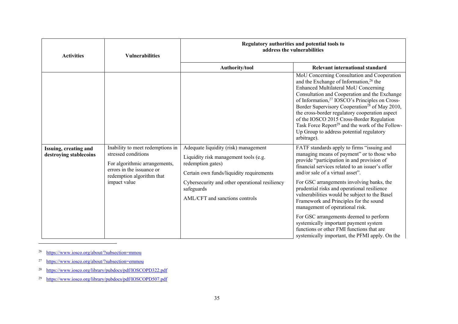| <b>Activities</b>                               | <b>Vulnerabilities</b>                                                                                                                                             | Regulatory authorities and potential tools to<br>address the vulnerabilities                                                                                                                                                                     |                                                                                                                                                                                                                                                                                                                                                                                                                                                                                                                                                                                                                                                                                                                                                                                                                                                                                                                              |  |
|-------------------------------------------------|--------------------------------------------------------------------------------------------------------------------------------------------------------------------|--------------------------------------------------------------------------------------------------------------------------------------------------------------------------------------------------------------------------------------------------|------------------------------------------------------------------------------------------------------------------------------------------------------------------------------------------------------------------------------------------------------------------------------------------------------------------------------------------------------------------------------------------------------------------------------------------------------------------------------------------------------------------------------------------------------------------------------------------------------------------------------------------------------------------------------------------------------------------------------------------------------------------------------------------------------------------------------------------------------------------------------------------------------------------------------|--|
|                                                 |                                                                                                                                                                    | Authority/tool                                                                                                                                                                                                                                   | Relevant international standard                                                                                                                                                                                                                                                                                                                                                                                                                                                                                                                                                                                                                                                                                                                                                                                                                                                                                              |  |
| Issuing, creating and<br>destroying stablecoins | Inability to meet redemptions in<br>stressed conditions<br>For algorithmic arrangements,<br>errors in the issuance or<br>redemption algorithm that<br>impact value | Adequate liquidity (risk) management<br>Liquidity risk management tools (e.g.<br>redemption gates)<br>Certain own funds/liquidity requirements<br>Cybersecurity and other operational resiliency<br>safeguards<br>AML/CFT and sanctions controls | MoU Concerning Consultation and Cooperation<br>and the Exchange of Information, <sup>26</sup> the<br>Enhanced Multilateral MoU Concerning<br>Consultation and Cooperation and the Exchange<br>of Information, <sup>27</sup> IOSCO's Principles on Cross-<br>Border Supervisory Cooperation <sup>28</sup> of May 2010,<br>the cross-border regulatory cooperation aspect<br>of the IOSCO 2015 Cross-Border Regulation<br>Task Force Report <sup>29</sup> and the work of the Follow-<br>Up Group to address potential regulatory<br>arbitrage).<br>FATF standards apply to firms "issuing and<br>managing means of payment" or to those who<br>provide "participation in and provision of<br>financial services related to an issuer's offer<br>and/or sale of a virtual asset".<br>For GSC arrangements involving banks, the<br>prudential risks and operational resilience<br>vulnerabilities would be subject to the Basel |  |
|                                                 |                                                                                                                                                                    |                                                                                                                                                                                                                                                  | Framework and Principles for the sound<br>management of operational risk.                                                                                                                                                                                                                                                                                                                                                                                                                                                                                                                                                                                                                                                                                                                                                                                                                                                    |  |
|                                                 |                                                                                                                                                                    |                                                                                                                                                                                                                                                  | For GSC arrangements deemed to perform<br>systemically important payment system<br>functions or other FMI functions that are<br>systemically important, the PFMI apply. On the                                                                                                                                                                                                                                                                                                                                                                                                                                                                                                                                                                                                                                                                                                                                               |  |

<sup>26</sup> https://www.iosco.org/about/?subsection=mmou

<sup>27</sup> https://www.iosco.org/about/?subsection=emmou

28https://www.iosco.org/library/pubdocs/pdf/IOSCOPD322.pdf

29https://www.iosco.org/library/pubdocs/pdf/IOSCOPD507.pdf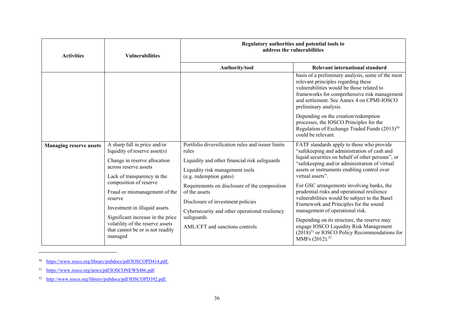| <b>Activities</b>              | <b>Vulnerabilities</b>                                                                                                                                                                                                      | Regulatory authorities and potential tools to<br>address the vulnerabilities                                                                                                                          |                                                                                                                                                                                                                                                                                                                                                                                                                                                                               |  |
|--------------------------------|-----------------------------------------------------------------------------------------------------------------------------------------------------------------------------------------------------------------------------|-------------------------------------------------------------------------------------------------------------------------------------------------------------------------------------------------------|-------------------------------------------------------------------------------------------------------------------------------------------------------------------------------------------------------------------------------------------------------------------------------------------------------------------------------------------------------------------------------------------------------------------------------------------------------------------------------|--|
|                                |                                                                                                                                                                                                                             | Authority/tool                                                                                                                                                                                        | Relevant international standard                                                                                                                                                                                                                                                                                                                                                                                                                                               |  |
| <b>Managing reserve assets</b> | A sharp fall in price and/or                                                                                                                                                                                                | Portfolio diversification rules and issuer limits                                                                                                                                                     | basis of a preliminary analysis, some of the most<br>relevant principles regarding these<br>vulnerabilities would be those related to<br>frameworks for comprehensive risk management<br>and settlement. See Annex 4 on CPMI-IOSCO<br>preliminary analysis.<br>Depending on the creation/redemption<br>processes, the IOSCO Principles for the<br>Regulation of Exchange Traded Funds (2013) <sup>30</sup><br>could be relevant.<br>FATF standards apply to those who provide |  |
|                                | liquidity of reserve asset(s)<br>Change in reserve allocation<br>across reserve assets<br>Lack of transparency in the                                                                                                       | rules<br>Liquidity and other financial risk safeguards<br>Liquidity risk management tools<br>(e.g. redemption gates)                                                                                  | "safekeeping and administration of cash and<br>liquid securities on behalf of other persons", or<br>"safekeeping and/or administration of virtual<br>assets or instruments enabling control over<br>virtual assets".                                                                                                                                                                                                                                                          |  |
|                                | composition of reserve<br>Fraud or mismanagement of the<br>reserve<br>Investment in illiquid assets<br>Significant increase in the price<br>volatility of the reserve assets<br>that cannot be or is not readily<br>managed | Requirements on disclosure of the composition<br>of the assets<br>Disclosure of investment policies<br>Cybersecurity and other operational resiliency<br>safeguards<br>AML/CFT and sanctions controls | For GSC arrangements involving banks, the<br>prudential risks and operational resilience<br>vulnerabilities would be subject to the Basel<br>Framework and Principles for the sound<br>management of operational risk.<br>Depending on its structure, the reserve may<br>engage IOSCO Liquidity Risk Management<br>$(2018)^{31}$ or IOSCO Policy Recommendations for<br>MMFs (2012). <sup>32</sup>                                                                            |  |

<sup>&</sup>lt;sup>30</sup> https://www.iosco.org/library/pubdocs/pdf/IOSCOPD414.pdf.

<sup>&</sup>lt;sup>31</sup> https://www.iosco.org/news/pdf/IOSCONEWS486.pdf.

<sup>&</sup>lt;sup>32</sup> http://www.iosco.org/library/pubdocs/pdf/IOSCOPD392.pdf.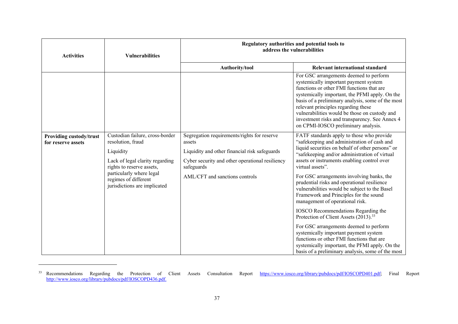| <b>Activities</b>                                    | <b>Vulnerabilities</b>                                                                                                                                                                                                | Regulatory authorities and potential tools to<br>address the vulnerabilities                                                                                            |                                                                                                                                                                                                                                                                                                                                                                                                                      |  |
|------------------------------------------------------|-----------------------------------------------------------------------------------------------------------------------------------------------------------------------------------------------------------------------|-------------------------------------------------------------------------------------------------------------------------------------------------------------------------|----------------------------------------------------------------------------------------------------------------------------------------------------------------------------------------------------------------------------------------------------------------------------------------------------------------------------------------------------------------------------------------------------------------------|--|
|                                                      |                                                                                                                                                                                                                       | Authority/tool                                                                                                                                                          | Relevant international standard                                                                                                                                                                                                                                                                                                                                                                                      |  |
|                                                      |                                                                                                                                                                                                                       |                                                                                                                                                                         | For GSC arrangements deemed to perform<br>systemically important payment system<br>functions or other FMI functions that are<br>systemically important, the PFMI apply. On the<br>basis of a preliminary analysis, some of the most<br>relevant principles regarding these<br>vulnerabilities would be those on custody and<br>investment risks and transparency. See Annex 4<br>on CPMI-IOSCO preliminary analysis. |  |
| <b>Providing custody/trust</b><br>for reserve assets | Custodian failure, cross-border<br>resolution, fraud<br>Liquidity<br>Lack of legal clarity regarding<br>rights to reserve assets,<br>particularly where legal<br>regimes of different<br>jurisdictions are implicated | Segregation requirements/rights for reserve<br>assets<br>Liquidity and other financial risk safeguards<br>Cyber security and other operational resiliency<br>safeguards | FATF standards apply to those who provide<br>"safekeeping and administration of cash and<br>liquid securities on behalf of other persons" or<br>"safekeeping and/or administration of virtual<br>assets or instruments enabling control over<br>virtual assets".                                                                                                                                                     |  |
|                                                      |                                                                                                                                                                                                                       | AML/CFT and sanctions controls                                                                                                                                          | For GSC arrangements involving banks, the<br>prudential risks and operational resilience<br>vulnerabilities would be subject to the Basel<br>Framework and Principles for the sound<br>management of operational risk.                                                                                                                                                                                               |  |
|                                                      |                                                                                                                                                                                                                       |                                                                                                                                                                         | IOSCO Recommendations Regarding the<br>Protection of Client Assets (2013). <sup>33</sup>                                                                                                                                                                                                                                                                                                                             |  |
|                                                      |                                                                                                                                                                                                                       |                                                                                                                                                                         | For GSC arrangements deemed to perform<br>systemically important payment system<br>functions or other FMI functions that are<br>systemically important, the PFMI apply. On the<br>basis of a preliminary analysis, some of the most                                                                                                                                                                                  |  |

<sup>33</sup> Recommendations Regarding the Protection of Client Assets Consultation Report https://www.iosco.org/library/pubdocs/pdf/IOSCOPD401.pdf; Final Report http://www.iosco.org/library/pubdocs/pdf/IOSCOPD436.pdf.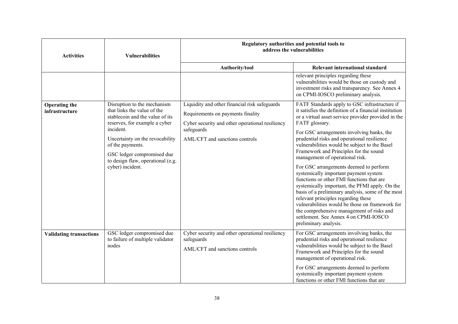| <b>Activities</b>                      | <b>Vulnerabilities</b>                                                                                                                                                                                                                                                                    | Regulatory authorities and potential tools to<br>address the vulnerabilities                                                                                                          |                                                                                                                                                                                                                                                                                                                                                                                                                                                                                                                                                                                                                                                                                                                                                                                                                                                            |  |
|----------------------------------------|-------------------------------------------------------------------------------------------------------------------------------------------------------------------------------------------------------------------------------------------------------------------------------------------|---------------------------------------------------------------------------------------------------------------------------------------------------------------------------------------|------------------------------------------------------------------------------------------------------------------------------------------------------------------------------------------------------------------------------------------------------------------------------------------------------------------------------------------------------------------------------------------------------------------------------------------------------------------------------------------------------------------------------------------------------------------------------------------------------------------------------------------------------------------------------------------------------------------------------------------------------------------------------------------------------------------------------------------------------------|--|
|                                        |                                                                                                                                                                                                                                                                                           | Authority/tool                                                                                                                                                                        | Relevant international standard                                                                                                                                                                                                                                                                                                                                                                                                                                                                                                                                                                                                                                                                                                                                                                                                                            |  |
|                                        |                                                                                                                                                                                                                                                                                           |                                                                                                                                                                                       | relevant principles regarding these<br>vulnerabilities would be those on custody and<br>investment risks and transparency. See Annex 4<br>on CPMI-IOSCO preliminary analysis.                                                                                                                                                                                                                                                                                                                                                                                                                                                                                                                                                                                                                                                                              |  |
| <b>Operating the</b><br>infrastructure | Disruption to the mechanism<br>that links the value of the<br>stablecoin and the value of its<br>reserves, for example a cyber<br>incident.<br>Uncertainty on the revocability<br>of the payments.<br>GSC ledger compromised due<br>to design flaw, operational (e.g.<br>cyber) incident. | Liquidity and other financial risk safeguards<br>Requirements on payments finality<br>Cyber security and other operational resiliency<br>safeguards<br>AML/CFT and sanctions controls | FATF Standards apply to GSC infrastructure if<br>it satisfies the definition of a financial institution<br>or a virtual asset service provider provided in the<br>FATF glossary.<br>For GSC arrangements involving banks, the<br>prudential risks and operational resilience<br>vulnerabilities would be subject to the Basel<br>Framework and Principles for the sound<br>management of operational risk.<br>For GSC arrangements deemed to perform<br>systemically important payment system<br>functions or other FMI functions that are<br>systemically important, the PFMI apply. On the<br>basis of a preliminary analysis, some of the most<br>relevant principles regarding these<br>vulnerabilities would be those on framework for<br>the comprehensive management of risks and<br>settlement. See Annex 4 on CPMI-IOSCO<br>preliminary analysis. |  |
| <b>Validating transactions</b>         | GSC ledger compromised due<br>to failure of multiple validator<br>nodes                                                                                                                                                                                                                   | Cyber security and other operational resiliency<br>safeguards<br>AML/CFT and sanctions controls                                                                                       | For GSC arrangements involving banks, the<br>prudential risks and operational resilience<br>vulnerabilities would be subject to the Basel<br>Framework and Principles for the sound<br>management of operational risk.                                                                                                                                                                                                                                                                                                                                                                                                                                                                                                                                                                                                                                     |  |
|                                        |                                                                                                                                                                                                                                                                                           |                                                                                                                                                                                       | For GSC arrangements deemed to perform<br>systemically important payment system<br>functions or other FMI functions that are                                                                                                                                                                                                                                                                                                                                                                                                                                                                                                                                                                                                                                                                                                                               |  |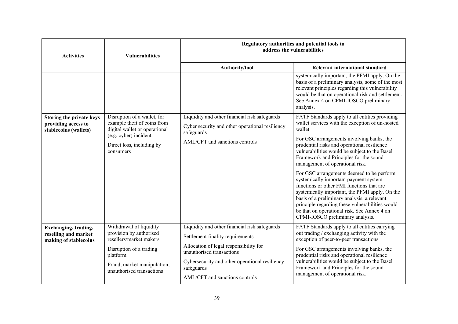| <b>Activities</b>                                                             | <b>Vulnerabilities</b>                                                                                                                                                            | Regulatory authorities and potential tools to<br>address the vulnerabilities                                                                                                                                                                               |                                                                                                                                                                                                                                                                                                                                                                                                                                                                                                                                                                                                                                                                                                                 |  |
|-------------------------------------------------------------------------------|-----------------------------------------------------------------------------------------------------------------------------------------------------------------------------------|------------------------------------------------------------------------------------------------------------------------------------------------------------------------------------------------------------------------------------------------------------|-----------------------------------------------------------------------------------------------------------------------------------------------------------------------------------------------------------------------------------------------------------------------------------------------------------------------------------------------------------------------------------------------------------------------------------------------------------------------------------------------------------------------------------------------------------------------------------------------------------------------------------------------------------------------------------------------------------------|--|
|                                                                               |                                                                                                                                                                                   | Authority/tool                                                                                                                                                                                                                                             | Relevant international standard                                                                                                                                                                                                                                                                                                                                                                                                                                                                                                                                                                                                                                                                                 |  |
|                                                                               |                                                                                                                                                                                   |                                                                                                                                                                                                                                                            | systemically important, the PFMI apply. On the<br>basis of a preliminary analysis, some of the most<br>relevant principles regarding this vulnerability<br>would be that on operational risk and settlement.<br>See Annex 4 on CPMI-IOSCO preliminary<br>analysis.                                                                                                                                                                                                                                                                                                                                                                                                                                              |  |
| Storing the private keys<br>providing access to<br>stablecoins (wallets)      | Disruption of a wallet, for<br>example theft of coins from<br>digital wallet or operational<br>(e.g. cyber) incident.<br>Direct loss, including by<br>consumers                   | Liquidity and other financial risk safeguards<br>Cyber security and other operational resiliency<br>safeguards<br>AML/CFT and sanctions controls                                                                                                           | FATF Standards apply to all entities providing<br>wallet services with the exception of un-hosted<br>wallet<br>For GSC arrangements involving banks, the<br>prudential risks and operational resilience<br>vulnerabilities would be subject to the Basel<br>Framework and Principles for the sound<br>management of operational risk.<br>For GSC arrangements deemed to be perform<br>systemically important payment system<br>functions or other FMI functions that are<br>systemically important, the PFMI apply. On the<br>basis of a preliminary analysis, a relevant<br>principle regarding these vulnerabilities would<br>be that on operational risk. See Annex 4 on<br>CPMI-IOSCO preliminary analysis. |  |
| <b>Exchanging</b> , trading,<br>reselling and market<br>making of stablecoins | Withdrawal of liquidity<br>provision by authorised<br>resellers/market makers<br>Disruption of a trading<br>platform.<br>Fraud, market manipulation,<br>unauthorised transactions | Liquidity and other financial risk safeguards<br>Settlement finality requirements<br>Allocation of legal responsibility for<br>unauthorised transactions<br>Cybersecurity and other operational resiliency<br>safeguards<br>AML/CFT and sanctions controls | FATF Standards apply to all entities carrying<br>out trading / exchanging activity with the<br>exception of peer-to-peer transactions<br>For GSC arrangements involving banks, the<br>prudential risks and operational resilience<br>vulnerabilities would be subject to the Basel<br>Framework and Principles for the sound<br>management of operational risk.                                                                                                                                                                                                                                                                                                                                                 |  |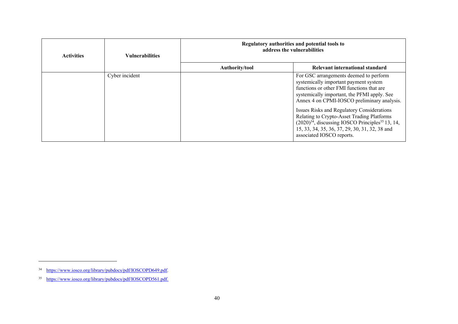| <b>Activities</b> | <b>Vulnerabilities</b> | Regulatory authorities and potential tools to<br>address the vulnerabilities |                                                                                                                                                                                                                                                                                                                                                                                                                                                                            |  |
|-------------------|------------------------|------------------------------------------------------------------------------|----------------------------------------------------------------------------------------------------------------------------------------------------------------------------------------------------------------------------------------------------------------------------------------------------------------------------------------------------------------------------------------------------------------------------------------------------------------------------|--|
|                   |                        | Authority/tool                                                               | Relevant international standard                                                                                                                                                                                                                                                                                                                                                                                                                                            |  |
|                   | Cyber incident         |                                                                              | For GSC arrangements deemed to perform<br>systemically important payment system<br>functions or other FMI functions that are<br>systemically important, the PFMI apply. See<br>Annex 4 on CPMI-IOSCO preliminary analysis.<br>Issues Risks and Regulatory Considerations<br>Relating to Crypto-Asset Trading Platforms<br>$(2020)^{34}$ , discussing IOSCO Principles <sup>35</sup> 13, 14,<br>15, 33, 34, 35, 36, 37, 29, 30, 31, 32, 38 and<br>associated IOSCO reports. |  |

<sup>&</sup>lt;sup>34</sup> https://www.iosco.org/library/pubdocs/pdf/IOSCOPD649.pdf.

<sup>&</sup>lt;sup>35</sup> https://www.iosco.org/library/pubdocs/pdf/IOSCOPD561.pdf.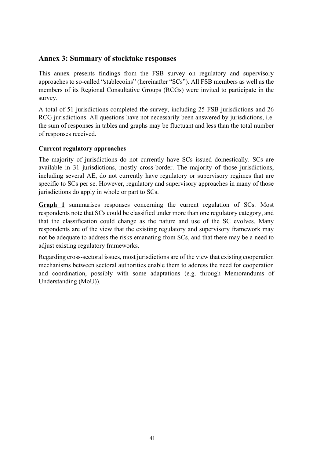## **Annex 3: Summary of stocktake responses**

This annex presents findings from the FSB survey on regulatory and supervisory approaches to so-called "stablecoins" (hereinafter "SCs"). All FSB members as well as the members of its Regional Consultative Groups (RCGs) were invited to participate in the survey.

A total of 51 jurisdictions completed the survey, including 25 FSB jurisdictions and 26 RCG jurisdictions. All questions have not necessarily been answered by jurisdictions, i.e. the sum of responses in tables and graphs may be fluctuant and less than the total number of responses received.

## **Current regulatory approaches**

The majority of jurisdictions do not currently have SCs issued domestically. SCs are available in 31 jurisdictions, mostly cross-border. The majority of those jurisdictions, including several AE, do not currently have regulatory or supervisory regimes that are specific to SCs per se. However, regulatory and supervisory approaches in many of those jurisdictions do apply in whole or part to SCs.

**Graph 1** summarises responses concerning the current regulation of SCs. Most respondents note that SCs could be classified under more than one regulatory category, and that the classification could change as the nature and use of the SC evolves. Many respondents are of the view that the existing regulatory and supervisory framework may not be adequate to address the risks emanating from SCs, and that there may be a need to adjust existing regulatory frameworks.

Regarding cross-sectoral issues, most jurisdictions are of the view that existing cooperation mechanisms between sectoral authorities enable them to address the need for cooperation and coordination, possibly with some adaptations (e.g. through Memorandums of Understanding (MoU)).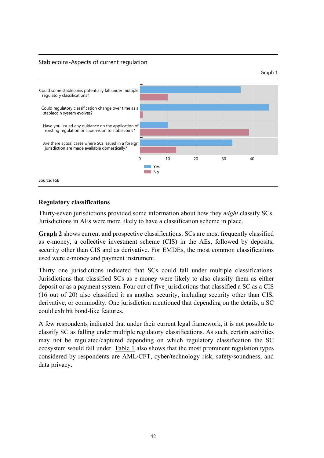#### Stablecoins-Aspects of current regulation



#### **Regulatory classifications**

Thirty-seven jurisdictions provided some information about how they *might* classify SCs. Jurisdictions in AEs were more likely to have a classification scheme in place.

**Graph 2** shows current and prospective classifications. SCs are most frequently classified as e-money, a collective investment scheme (CIS) in the AEs, followed by deposits, security other than CIS and as derivative. For EMDEs, the most common classifications used were e-money and payment instrument.

Thirty one jurisdictions indicated that SCs could fall under multiple classifications. Jurisdictions that classified SCs as e-money were likely to also classify them as either deposit or as a payment system. Four out of five jurisdictions that classified a SC as a CIS (16 out of 20) also classified it as another security, including security other than CIS, derivative, or commodity. One jurisdiction mentioned that depending on the details, a SC could exhibit bond-like features.

A few respondents indicated that under their current legal framework, it is not possible to classify SC as falling under multiple regulatory classifications. As such, certain activities may not be regulated/captured depending on which regulatory classification the SC ecosystem would fall under. Table 1 also shows that the most prominent regulation types considered by respondents are AML/CFT, cyber/technology risk, safety/soundness, and data privacy.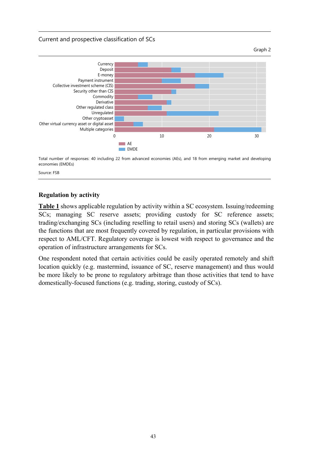Current and prospective classification of SCs





Total number of responses: 40 including 22 from advanced economies (AEs), and 18 from emerging market and developing economies (EMDEs)

Source: FSB

#### **Regulation by activity**

**Table 1** shows applicable regulation by activity within a SC ecosystem. Issuing/redeeming SCs; managing SC reserve assets; providing custody for SC reference assets; trading/exchanging SCs (including reselling to retail users) and storing SCs (wallets) are the functions that are most frequently covered by regulation, in particular provisions with respect to AML/CFT. Regulatory coverage is lowest with respect to governance and the operation of infrastructure arrangements for SCs.

One respondent noted that certain activities could be easily operated remotely and shift location quickly (e.g. mastermind, issuance of SC, reserve management) and thus would be more likely to be prone to regulatory arbitrage than those activities that tend to have domestically-focused functions (e.g. trading, storing, custody of SCs).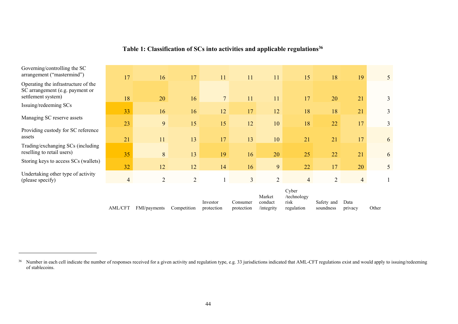| Table 1: Classification of SCs into activities and applicable regulations <sup>36</sup> |  |  |
|-----------------------------------------------------------------------------------------|--|--|
|                                                                                         |  |  |

| Governing/controlling the SC<br>arrangement ("mastermind")             | 17             | 16             | 17             | 11                     | 11                     | 11                              | 15                                         | 18                      | 19              | 5 <sup>5</sup> |
|------------------------------------------------------------------------|----------------|----------------|----------------|------------------------|------------------------|---------------------------------|--------------------------------------------|-------------------------|-----------------|----------------|
| Operating the infrastructure of the<br>SC arrangement (e.g. payment or |                |                |                |                        |                        |                                 |                                            |                         |                 |                |
| settlement system)                                                     | 18             | 20             | 16             | 7 <sup>1</sup>         | 11                     | 11                              | 17                                         | 20                      | 21              | 3              |
| Issuing/redeeming SCs                                                  | 33             | 16             | 16             | 12                     | 17                     | 12                              | 18                                         | 18                      | 21              | 3              |
| Managing SC reserve assets                                             | 23             | 9              | 15             | 15                     | 12                     | 10                              | 18                                         | 22                      | 17              | $\mathfrak{Z}$ |
| Providing custody for SC reference<br>assets                           | 21             | 11             | 13             | 17                     | 13                     | 10                              | 21                                         | 21                      | 17              | 6              |
| Trading/exchanging SCs (including<br>reselling to retail users)        | 35             |                |                |                        |                        |                                 |                                            |                         |                 |                |
| Storing keys to access SCs (wallets)                                   | 32             | 8<br>12        | 13<br>12       | 19<br>14               | 16<br>16               | 20<br>9 <sup>°</sup>            | 25<br>22                                   | 22<br>17                | 21<br>20        | 6<br>5         |
| Undertaking other type of activity<br>(please specify)                 | $\overline{4}$ | $\overline{2}$ | $\overline{2}$ |                        | 3                      | $\overline{2}$                  | $\overline{4}$                             | $\overline{2}$          | $\overline{4}$  | 1              |
|                                                                        | AML/CFT        | FMI/payments   | Competition    | Investor<br>protection | Consumer<br>protection | Market<br>conduct<br>/integrity | Cyber<br>/technology<br>risk<br>regulation | Safety and<br>soundness | Data<br>privacy | Other          |

 $36$  Number in each cell indicate the number of responses received for a given activity and regulation type, e.g. 33 jurisdictions indicated that AML-CFT regulations exist and would apply to issuing/redeeming of stablecoins.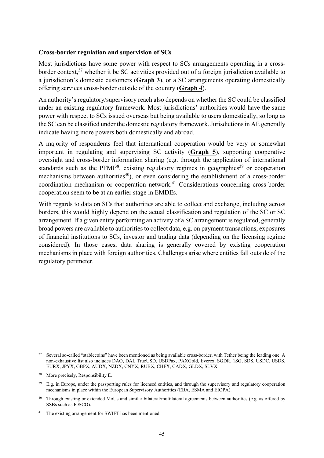#### **Cross-border regulation and supervision of SCs**

Most jurisdictions have some power with respect to SCs arrangements operating in a crossborder context.<sup>37</sup> whether it be SC activities provided out of a foreign jurisdiction available to a jurisdiction's domestic customers (**Graph 3**), or a SC arrangements operating domestically offering services cross-border outside of the country (**Graph 4**).

An authority's regulatory/supervisory reach also depends on whether the SC could be classified under an existing regulatory framework. Most jurisdictions' authorities would have the same power with respect to SCs issued overseas but being available to users domestically, so long as the SC can be classified under the domestic regulatory framework. Jurisdictions in AE generally indicate having more powers both domestically and abroad.

A majority of respondents feel that international cooperation would be very or somewhat important in regulating and supervising SC activity (**Graph 5**), supporting cooperative oversight and cross-border information sharing (e.g. through the application of international standards such as the  $PFMI^{38}$ , existing regulatory regimes in geographies<sup>39</sup> or cooperation mechanisms between authorities<sup>40</sup>), or even considering the establishment of a cross-border coordination mechanism or cooperation network.41 Considerations concerning cross-border cooperation seem to be at an earlier stage in EMDEs.

With regards to data on SCs that authorities are able to collect and exchange, including across borders, this would highly depend on the actual classification and regulation of the SC or SC arrangement. If a given entity performing an activity of a SC arrangement is regulated, generally broad powers are available to authorities to collect data, e.g. on payment transactions, exposures of financial institutions to SCs, investor and trading data (depending on the licensing regime considered). In those cases, data sharing is generally covered by existing cooperation mechanisms in place with foreign authorities. Challenges arise where entities fall outside of the regulatory perimeter.

<sup>&</sup>lt;sup>37</sup> Several so-called "stablecoins" have been mentioned as being available cross-border, with Tether being the leading one. A non-exhaustive list also includes DAO, DAI, TrueUSD, USDPax, PAXGold, Everex, SGDR, 1SG, SDS, USDC, USDS, EURX, JPYX, GBPX, AUDX, NZDX, CNYX, RUBX, CHFX, CADX, GLDX, SLVX.

<sup>&</sup>lt;sup>38</sup> More precisely, Responsibility E.

 $39$  E.g. in Europe, under the passporting rules for licensed entities, and through the supervisory and regulatory cooperation mechanisms in place within the European Supervisory Authorities (EBA, ESMA and EIOPA).

<sup>&</sup>lt;sup>40</sup> Through existing or extended MoUs and similar bilateral/multilateral agreements between authorities (e.g. as offered by SSBs such as IOSCO).

<sup>41</sup> The existing arrangement for SWIFT has been mentioned.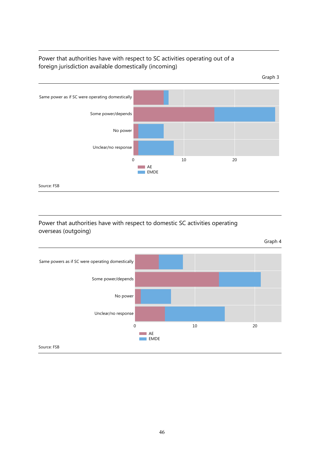# Power that authorities have with respect to SC activities operating out of a foreign jurisdiction available domestically (incoming)



## Power that authorities have with respect to domestic SC activities operating overseas (outgoing)

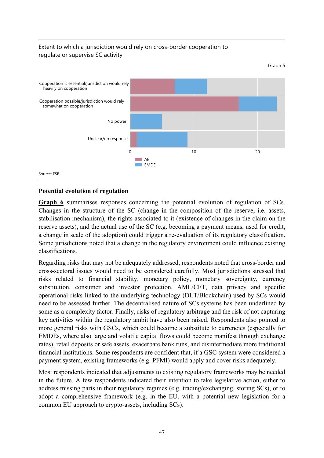# Extent to which a jurisdiction would rely on cross-border cooperation to regulate or supervise SC activity



#### **Potential evolution of regulation**

Graph 6 summarises responses concerning the potential evolution of regulation of SCs. Changes in the structure of the SC (change in the composition of the reserve, i.e. assets, stabilisation mechanism), the rights associated to it (existence of changes in the claim on the reserve assets), and the actual use of the SC (e.g. becoming a payment means, used for credit, a change in scale of the adoption) could trigger a re-evaluation of its regulatory classification. Some jurisdictions noted that a change in the regulatory environment could influence existing classifications.

Regarding risks that may not be adequately addressed, respondents noted that cross-border and cross-sectoral issues would need to be considered carefully. Most jurisdictions stressed that risks related to financial stability, monetary policy, monetary sovereignty, currency substitution, consumer and investor protection, AML/CFT, data privacy and specific operational risks linked to the underlying technology (DLT/Blockchain) used by SCs would need to be assessed further. The decentralised nature of SCs systems has been underlined by some as a complexity factor. Finally, risks of regulatory arbitrage and the risk of not capturing key activities within the regulatory ambit have also been raised. Respondents also pointed to more general risks with GSCs, which could become a substitute to currencies (especially for EMDEs, where also large and volatile capital flows could become manifest through exchange rates), retail deposits or safe assets, exacerbate bank runs, and disintermediate more traditional financial institutions. Some respondents are confident that, if a GSC system were considered a payment system, existing frameworks (e.g. PFMI) would apply and cover risks adequately.

Most respondents indicated that adjustments to existing regulatory frameworks may be needed in the future. A few respondents indicated their intention to take legislative action, either to address missing parts in their regulatory regimes (e.g. trading/exchanging, storing SCs), or to adopt a comprehensive framework (e.g. in the EU, with a potential new legislation for a common EU approach to crypto-assets, including SCs).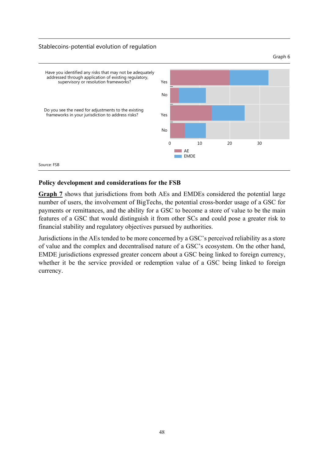#### Stablecoins-potential evolution of regulation



#### **Policy development and considerations for the FSB**

**Graph 7** shows that jurisdictions from both AEs and EMDEs considered the potential large number of users, the involvement of BigTechs, the potential cross-border usage of a GSC for payments or remittances, and the ability for a GSC to become a store of value to be the main features of a GSC that would distinguish it from other SCs and could pose a greater risk to financial stability and regulatory objectives pursued by authorities.

Jurisdictions in the AEs tended to be more concerned by a GSC's perceived reliability as a store of value and the complex and decentralised nature of a GSC's ecosystem. On the other hand, EMDE jurisdictions expressed greater concern about a GSC being linked to foreign currency, whether it be the service provided or redemption value of a GSC being linked to foreign currency.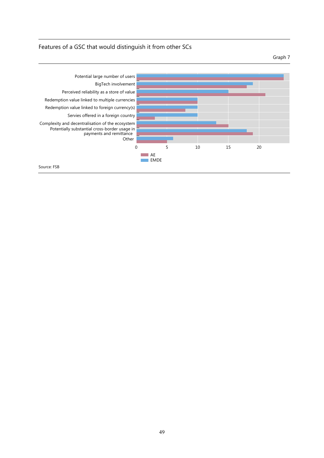## Features of a GSC that would distinguish it from other SCs

Graph 7

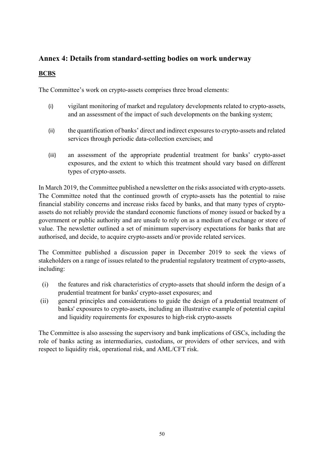# **Annex 4: Details from standard-setting bodies on work underway**

## **BCBS**

The Committee's work on crypto-assets comprises three broad elements:

- (i) vigilant monitoring of market and regulatory developments related to crypto-assets, and an assessment of the impact of such developments on the banking system;
- (ii) the quantification of banks' direct and indirect exposures to crypto-assets and related services through periodic data-collection exercises; and
- (iii) an assessment of the appropriate prudential treatment for banks' crypto-asset exposures, and the extent to which this treatment should vary based on different types of crypto-assets.

In March 2019, the Committee published a newsletter on the risks associated with crypto-assets. The Committee noted that the continued growth of crypto-assets has the potential to raise financial stability concerns and increase risks faced by banks, and that many types of cryptoassets do not reliably provide the standard economic functions of money issued or backed by a government or public authority and are unsafe to rely on as a medium of exchange or store of value. The newsletter outlined a set of minimum supervisory expectations for banks that are authorised, and decide, to acquire crypto-assets and/or provide related services.

The Committee published a discussion paper in December 2019 to seek the views of stakeholders on a range of issues related to the prudential regulatory treatment of crypto-assets, including:

- (i) the features and risk characteristics of crypto-assets that should inform the design of a prudential treatment for banks' crypto-asset exposures; and
- (ii) general principles and considerations to guide the design of a prudential treatment of banks' exposures to crypto-assets, including an illustrative example of potential capital and liquidity requirements for exposures to high-risk crypto-assets

The Committee is also assessing the supervisory and bank implications of GSCs, including the role of banks acting as intermediaries, custodians, or providers of other services, and with respect to liquidity risk, operational risk, and AML/CFT risk.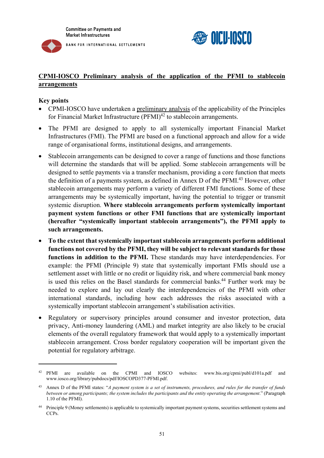



## **CPMI-IOSCO Preliminary analysis of the application of the PFMI to stablecoin arrangements**

#### **Key points**

- CPMI-IOSCO have undertaken a preliminary analysis of the applicability of the Principles for Financial Market Infrastructure  $(PFMI)^{42}$  to stablecoin arrangements.
- The PFMI are designed to apply to all systemically important Financial Market Infrastructures (FMI). The PFMI are based on a functional approach and allow for a wide range of organisational forms, institutional designs, and arrangements.
- Stablecoin arrangements can be designed to cover a range of functions and those functions will determine the standards that will be applied. Some stablecoin arrangements will be designed to settle payments via a transfer mechanism, providing a core function that meets the definition of a payments system, as defined in Annex D of the PFMI.<sup>43</sup> However, other stablecoin arrangements may perform a variety of different FMI functions. Some of these arrangements may be systemically important, having the potential to trigger or transmit systemic disruption. **Where stablecoin arrangements perform systemically important payment system functions or other FMI functions that are systemically important (hereafter "systemically important stablecoin arrangements"), the PFMI apply to such arrangements.**
- **To the extent that systemically important stablecoin arrangements perform additional functions not covered by the PFMI, they will be subject to relevant standards for those functions in addition to the PFMI.** These standards may have interdependencies. For example: the PFMI (Principle 9) state that systemically important FMIs should use a settlement asset with little or no credit or liquidity risk, and where commercial bank money is used this relies on the Basel standards for commercial banks.<sup>44</sup> Further work may be needed to explore and lay out clearly the interdependencies of the PFMI with other international standards, including how each addresses the risks associated with a systemically important stablecoin arrangement's stabilisation activities.
- Regulatory or supervisory principles around consumer and investor protection, data privacy, Anti-money laundering (AML) and market integrity are also likely to be crucial elements of the overall regulatory framework that would apply to a systemically important stablecoin arrangement. Cross border regulatory cooperation will be important given the potential for regulatory arbitrage.

<sup>42</sup> PFMI are available on the CPMI and IOSCO websites: www.bis.org/cpmi/publ/d101a.pdf and www.iosco.org/library/pubdocs/pdf/IOSCOPD377-PFMI.pdf.

<sup>43</sup> Annex D of the PFMI states: "*A payment system is a set of instruments, procedures, and rules for the transfer of funds between or among participants; the system includes the participants and the entity operating the arrangement*." (Paragraph 1.10 of the PFMI).

<sup>44</sup> Principle 9 (Money settlements) is applicable to systemically important payment systems, securities settlement systems and CCP<sub>s</sub>.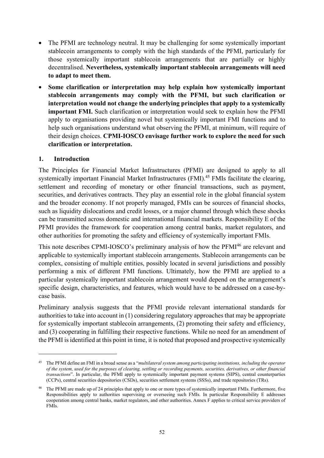- The PFMI are technology neutral. It may be challenging for some systemically important stablecoin arrangements to comply with the high standards of the PFMI, particularly for those systemically important stablecoin arrangements that are partially or highly decentralised. **Nevertheless, systemically important stablecoin arrangements will need to adapt to meet them.**
- **Some clarification or interpretation may help explain how systemically important stablecoin arrangements may comply with the PFMI, but such clarification or interpretation would not change the underlying principles that apply to a systemically important FMI.** Such clarification or interpretation would seek to explain how the PFMI apply to organisations providing novel but systemically important FMI functions and to help such organisations understand what observing the PFMI, at minimum, will require of their design choices. **CPMI-IOSCO envisage further work to explore the need for such clarification or interpretation.**

## **1. Introduction**

1

The Principles for Financial Market Infrastructures (PFMI) are designed to apply to all systemically important Financial Market Infrastructures (FMI).<sup>45</sup> FMIs facilitate the clearing, settlement and recording of monetary or other financial transactions, such as payment, securities, and derivatives contracts. They play an essential role in the global financial system and the broader economy. If not properly managed, FMIs can be sources of financial shocks, such as liquidity dislocations and credit losses, or a major channel through which these shocks can be transmitted across domestic and international financial markets. Responsibility E of the PFMI provides the framework for cooperation among central banks, market regulators, and other authorities for promoting the safety and efficiency of systemically important FMIs.

This note describes CPMI-IOSCO's preliminary analysis of how the PFMI<sup>46</sup> are relevant and applicable to systemically important stablecoin arrangements. Stablecoin arrangements can be complex, consisting of multiple entities, possibly located in several jurisdictions and possibly performing a mix of different FMI functions. Ultimately, how the PFMI are applied to a particular systemically important stablecoin arrangement would depend on the arrangement's specific design, characteristics, and features, which would have to be addressed on a case-bycase basis.

Preliminary analysis suggests that the PFMI provide relevant international standards for authorities to take into account in (1) considering regulatory approaches that may be appropriate for systemically important stablecoin arrangements, (2) promoting their safety and efficiency, and (3) cooperating in fulfilling their respective functions. While no need for an amendment of the PFMI is identified at this point in time, it is noted that proposed and prospective systemically

<sup>45</sup> The PFMI define an FMI in a broad sense as a "*multilateral system among participating institutions, including the operator of the system, used for the purposes of clearing, settling or recording payments, securities, derivatives, or other financial transactions*". In particular, the PFMI apply to systemically important payment systems (SIPS), central counterparties (CCPs), central securities depositories (CSDs), securities settlement systems (SSSs), and trade repositories (TRs).

The PFMI are made up of 24 principles that apply to one or more types of systemically important FMIs. Furthermore, five Responsibilities apply to authorities supervising or overseeing such FMIs. In particular Responsibility E addresses cooperation among central banks, market regulators, and other authorities. Annex F applies to critical service providers of FMIs.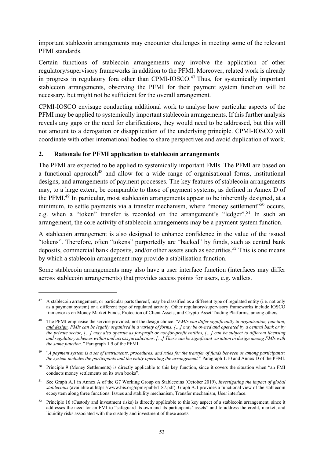important stablecoin arrangements may encounter challenges in meeting some of the relevant PFMI standards.

Certain functions of stablecoin arrangements may involve the application of other regulatory/supervisory frameworks in addition to the PFMI. Moreover, related work is already in progress in regulatory fora other than CPMI-IOSCO.<sup>47</sup> Thus, for systemically important stablecoin arrangements, observing the PFMI for their payment system function will be necessary, but might not be sufficient for the overall arrangement.

CPMI-IOSCO envisage conducting additional work to analyse how particular aspects of the PFMI may be applied to systemically important stablecoin arrangements. If this further analysis reveals any gaps or the need for clarifications, they would need to be addressed, but this will not amount to a derogation or disapplication of the underlying principle. CPMI-IOSCO will coordinate with other international bodies to share perspectives and avoid duplication of work.

#### **2. Rationale for PFMI application to stablecoin arrangements**

1

The PFMI are expected to be applied to systemically important FMIs. The PFMI are based on a functional approach<sup>48</sup> and allow for a wide range of organisational forms, institutional designs, and arrangements of payment processes. The key features of stablecoin arrangements may, to a large extent, be comparable to those of payment systems, as defined in Annex D of the PFMI.<sup>49</sup> In particular, most stablecoin arrangements appear to be inherently designed, at a minimum, to settle payments via a transfer mechanism, where "money settlement"<sup>50</sup> occurs, e.g. when a "token" transfer is recorded on the arrangement's "ledger".<sup>51</sup> In such an arrangement, the core activity of stablecoin arrangements may be a payment system function.

A stablecoin arrangement is also designed to enhance confidence in the value of the issued "tokens". Therefore, often "tokens" purportedly are "backed" by funds, such as central bank deposits, commercial bank deposits, and/or other assets such as securities.<sup>52</sup> This is one means by which a stablecoin arrangement may provide a stabilisation function.

Some stablecoin arrangements may also have a user interface function (interfaces may differ across stablecoin arrangements) that provides access points for users, e.g. wallets.

<sup>&</sup>lt;sup>47</sup> A stablecoin arrangement, or particular parts thereof, may be classified as a different type of regulated entity (i.e. not only as a payment system) or a different type of regulated activity. Other regulatory/supervisory frameworks include IOSCO frameworks on Money Market Funds, Protection of Client Assets, and Crypto-Asset Trading Platforms, among others.

<sup>48</sup> The PFMI emphasise the service provided, not the design choice: "*FMIs can differ significantly in organisation, function, and design. FMIs can be legally organised in a variety of forms, […] may be owned and operated by a central bank or by the private sector, […] may also operate as for-profit or not-for-profit entities, […] can be subject to different licensing and regulatory schemes within and across jurisdictions. […] There can be significant variation in design among FMIs with the same function."* Paragraph 1.9 of the PFMI.

<sup>49 &</sup>quot;*A payment system is a set of instruments, procedures, and rules for the transfer of funds between or among participants; the system includes the participants and the entity operating the arrangement.*" Paragraph 1.10 and Annex D of the PFMI.

<sup>50</sup> Principle 9 (Money Settlements) is directly applicable to this key function, since it covers the situation when "an FMI conducts money settlements on its own books".

<sup>51</sup> See Graph A.1 in Annex A of the G7 Working Group on Stablecoins (October 2019), *Investigating the impact of global stablecoins* (available at https://www.bis.org/cpmi/publ/d187.pdf). Graph A.1 provides a functional view of the stablecoin ecosystem along three functions: Issues and stability mechanism, Transfer mechanism, User interface.

 $52$  Principle 16 (Custody and investment risks) is directly applicable to this key aspect of a stablecoin arrangement, since it addresses the need for an FMI to "safeguard its own and its participants' assets" and to address the credit, market, and liquidity risks associated with the custody and investment of these assets.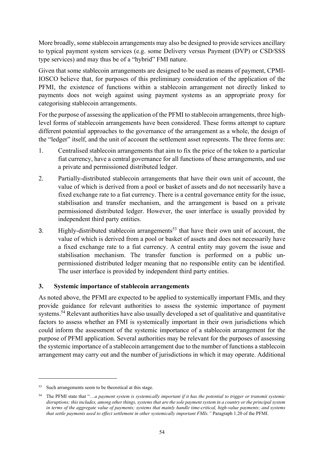More broadly, some stablecoin arrangements may also be designed to provide services ancillary to typical payment system services (e.g. some Delivery versus Payment (DVP) or CSD/SSS type services) and may thus be of a "hybrid" FMI nature.

Given that some stablecoin arrangements are designed to be used as means of payment, CPMI-IOSCO believe that, for purposes of this preliminary consideration of the application of the PFMI, the existence of functions within a stablecoin arrangement not directly linked to payments does not weigh against using payment systems as an appropriate proxy for categorising stablecoin arrangements.

For the purpose of assessing the application of the PFMI to stablecoin arrangements, three highlevel forms of stablecoin arrangements have been considered. These forms attempt to capture different potential approaches to the governance of the arrangement as a whole, the design of the "ledger" itself, and the unit of account the settlement asset represents. The three forms are:

- 1. Centralised stablecoin arrangements that aim to fix the price of the token to a particular fiat currency, have a central governance for all functions of these arrangements, and use a private and permissioned distributed ledger.
- 2. Partially-distributed stablecoin arrangements that have their own unit of account, the value of which is derived from a pool or basket of assets and do not necessarily have a fixed exchange rate to a fiat currency. There is a central governance entity for the issue, stabilisation and transfer mechanism, and the arrangement is based on a private permissioned distributed ledger. However, the user interface is usually provided by independent third party entities.
- 3. Highly-distributed stablecoin arrangements<sup>53</sup> that have their own unit of account, the value of which is derived from a pool or basket of assets and does not necessarily have a fixed exchange rate to a fiat currency. A central entity may govern the issue and stabilisation mechanism. The transfer function is performed on a public unpermissioned distributed ledger meaning that no responsible entity can be identified. The user interface is provided by independent third party entities.

## **3. Systemic importance of stablecoin arrangements**

As noted above, the PFMI are expected to be applied to systemically important FMIs, and they provide guidance for relevant authorities to assess the systemic importance of payment systems.<sup>54</sup> Relevant authorities have also usually developed a set of qualitative and quantitative factors to assess whether an FMI is systemically important in their own jurisdictions which could inform the assessment of the systemic importance of a stablecoin arrangement for the purpose of PFMI application. Several authorities may be relevant for the purposes of assessing the systemic importance of a stablecoin arrangement due to the number of functions a stablecoin arrangement may carry out and the number of jurisdictions in which it may operate. Additional

<sup>53</sup> Such arrangements seem to be theoretical at this stage.

<sup>54</sup> The PFMI state that "…*a payment system is systemically important if it has the potential to trigger or transmit systemic*  disruptions; this includes, among other things, systems that are the sole payment system in a country or the principal system *in terms of the aggregate value of payments; systems that mainly handle time-critical, high-value payments; and systems that settle payments used to effect settlement in other systemically important FMIs."* Paragraph 1.20 of the PFMI.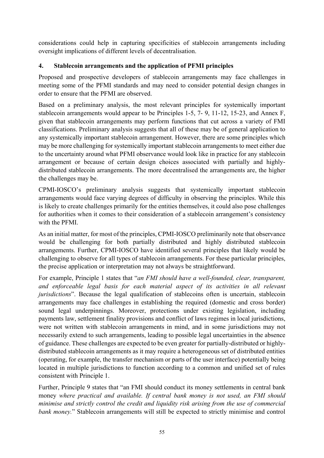considerations could help in capturing specificities of stablecoin arrangements including oversight implications of different levels of decentralisation.

## **4. Stablecoin arrangements and the application of PFMI principles**

Proposed and prospective developers of stablecoin arrangements may face challenges in meeting some of the PFMI standards and may need to consider potential design changes in order to ensure that the PFMI are observed.

Based on a preliminary analysis, the most relevant principles for systemically important stablecoin arrangements would appear to be Principles 1-5, 7- 9, 11-12, 15-23, and Annex F, given that stablecoin arrangements may perform functions that cut across a variety of FMI classifications. Preliminary analysis suggests that all of these may be of general application to any systemically important stablecoin arrangement. However, there are some principles which may be more challenging for systemically important stablecoin arrangements to meet either due to the uncertainty around what PFMI observance would look like in practice for any stablecoin arrangement or because of certain design choices associated with partially and highlydistributed stablecoin arrangements. The more decentralised the arrangements are, the higher the challenges may be.

CPMI-IOSCO's preliminary analysis suggests that systemically important stablecoin arrangements would face varying degrees of difficulty in observing the principles. While this is likely to create challenges primarily for the entities themselves, it could also pose challenges for authorities when it comes to their consideration of a stablecoin arrangement's consistency with the PFMI.

As an initial matter, for most of the principles, CPMI-IOSCO preliminarily note that observance would be challenging for both partially distributed and highly distributed stablecoin arrangements. Further, CPMI-IOSCO have identified several principles that likely would be challenging to observe for all types of stablecoin arrangements. For these particular principles, the precise application or interpretation may not always be straightforward.

For example, Principle 1 states that "*an FMI should have a well-founded, clear, transparent, and enforceable legal basis for each material aspect of its activities in all relevant jurisdictions*". Because the legal qualification of stablecoins often is uncertain, stablecoin arrangements may face challenges in establishing the required (domestic and cross border) sound legal underpinnings. Moreover, protections under existing legislation, including payments law, settlement finality provisions and conflict of laws regimes in local jurisdictions, were not written with stablecoin arrangements in mind, and in some jurisdictions may not necessarily extend to such arrangements, leading to possible legal uncertainties in the absence of guidance. These challenges are expected to be even greater for partially-distributed or highlydistributed stablecoin arrangements as it may require a heterogeneous set of distributed entities (operating, for example, the transfer mechanism or parts of the user interface) potentially being located in multiple jurisdictions to function according to a common and unified set of rules consistent with Principle 1.

Further, Principle 9 states that "an FMI should conduct its money settlements in central bank money *where practical and available. If central bank money is not used, an FMI should minimise and strictly control the credit and liquidity risk arising from the use of commercial bank money.*" Stablecoin arrangements will still be expected to strictly minimise and control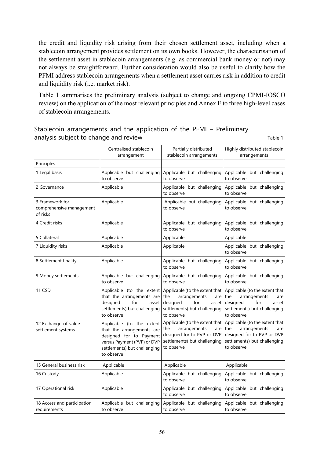the credit and liquidity risk arising from their chosen settlement asset, including when a stablecoin arrangement provides settlement on its own books. However, the characterisation of the settlement asset in stablecoin arrangements (e.g. as commercial bank money or not) may not always be straightforward. Further consideration would also be useful to clarify how the PFMI address stablecoin arrangements when a settlement asset carries risk in addition to credit and liquidity risk (i.e. market risk).

Table 1 summarises the preliminary analysis (subject to change and ongoing CPMI-IOSCO review) on the application of the most relevant principles and Annex F to three high-level cases of stablecoin arrangements.

|                                                         | Centralised stablecoin<br>arrangement                                                                                                                          | Partially distributed<br>stablecoin arrangements                                                                                         | Highly distributed stablecoin<br>arrangements                                                                                            |  |  |
|---------------------------------------------------------|----------------------------------------------------------------------------------------------------------------------------------------------------------------|------------------------------------------------------------------------------------------------------------------------------------------|------------------------------------------------------------------------------------------------------------------------------------------|--|--|
| Principles                                              |                                                                                                                                                                |                                                                                                                                          |                                                                                                                                          |  |  |
| 1 Legal basis                                           | Applicable but challenging<br>to observe                                                                                                                       | Applicable but challenging<br>to observe                                                                                                 | Applicable but challenging<br>to observe                                                                                                 |  |  |
| 2 Governance                                            | Applicable                                                                                                                                                     | Applicable but challenging<br>to observe                                                                                                 | Applicable but challenging<br>to observe                                                                                                 |  |  |
| 3 Framework for<br>comprehensive management<br>of risks | Applicable                                                                                                                                                     | Applicable but challenging<br>to observe                                                                                                 | Applicable but challenging<br>to observe                                                                                                 |  |  |
| 4 Credit risks                                          | Applicable                                                                                                                                                     | Applicable but challenging<br>to observe                                                                                                 | Applicable but challenging<br>to observe                                                                                                 |  |  |
| 5 Collateral                                            | Applicable                                                                                                                                                     | Applicable                                                                                                                               | Applicable                                                                                                                               |  |  |
| 7 Liquidity risks                                       | Applicable                                                                                                                                                     | Applicable                                                                                                                               | Applicable but challenging<br>to observe                                                                                                 |  |  |
| 8 Settlement finality                                   | Applicable                                                                                                                                                     | Applicable but challenging<br>to observe                                                                                                 | Applicable but challenging<br>to observe                                                                                                 |  |  |
| 9 Money settlements                                     | Applicable but challenging<br>to observe                                                                                                                       | Applicable but challenging<br>to observe                                                                                                 | Applicable but challenging<br>to observe                                                                                                 |  |  |
| 11 CSD                                                  | Applicable (to the extent<br>that the arrangements are<br>designed<br>for<br>asset<br>settlements) but challenging<br>to observe                               | Applicable (to the extent that<br>the<br>arrangements<br>are<br>designed<br>for<br>asset<br>settlements) but challenging<br>to observe   | Applicable (to the extent that<br>the<br>arrangements<br>are<br>designed<br>for<br>asset<br>settlements) but challenging<br>to observe   |  |  |
| 12 Exchange-of-value<br>settlement systems              | Applicable (to the extent<br>that the arrangements are<br>designed for to Payment<br>versus Payment (PVP) or DVP<br>settlements) but challenging<br>to observe | Applicable (to the extent that<br>the<br>arrangements<br>are<br>designed for to PVP or DVP<br>settlements) but challenging<br>to observe | Applicable (to the extent that<br>the<br>arrangements<br>are<br>designed for to PVP or DVP<br>settlements) but challenging<br>to observe |  |  |
| 15 General business risk                                | Applicable                                                                                                                                                     | Applicable                                                                                                                               | Applicable                                                                                                                               |  |  |
| 16 Custody                                              | Applicable                                                                                                                                                     | Applicable but challenging<br>to observe                                                                                                 | Applicable but challenging<br>to observe                                                                                                 |  |  |
| 17 Operational risk                                     | Applicable                                                                                                                                                     | Applicable but challenging<br>to observe                                                                                                 | Applicable but challenging<br>to observe                                                                                                 |  |  |
| 18 Access and participation<br>requirements             | Applicable but challenging<br>to observe                                                                                                                       | Applicable but challenging<br>to observe                                                                                                 | Applicable but challenging<br>to observe                                                                                                 |  |  |

Stablecoin arrangements and the application of the PFMI – Preliminary analysis subject to change and review Table 1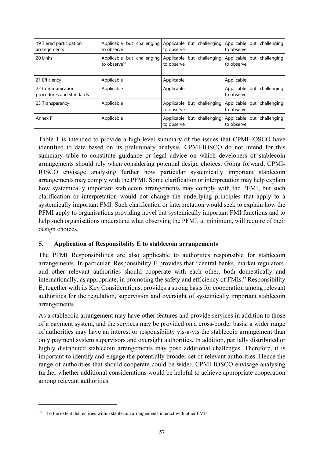| 19 Tiered participation<br>arrangements      | to observe                                             | Applicable but challenging Applicable but challenging<br>to observe | Applicable but challenging<br>to observe |
|----------------------------------------------|--------------------------------------------------------|---------------------------------------------------------------------|------------------------------------------|
| 20 Links                                     | Applicable but challenging<br>to observe <sup>55</sup> | Applicable but challenging<br>to observe                            | Applicable but challenging<br>to observe |
| 21 Efficiency                                | Applicable                                             | Applicable                                                          | Applicable                               |
| 22 Communication<br>procedures and standards | Applicable                                             | Applicable                                                          | Applicable but challenging<br>to observe |
| 23 Transparency                              | Applicable                                             | Applicable but challenging<br>to observe                            | Applicable but challenging<br>to observe |
| Annex F                                      | Applicable                                             | Applicable but challenging<br>to observe                            | Applicable but challenging<br>to observe |

Table 1 is intended to provide a high-level summary of the issues that CPMI-IOSCO have identified to date based on its preliminary analysis. CPMI-IOSCO do not intend for this summary table to constitute guidance or legal advice on which developers of stablecoin arrangements should rely when considering potential design choices. Going forward, CPMI-IOSCO envisage analysing further how particular systemically important stablecoin arrangements may comply with the PFMI. Some clarification or interpretation may help explain how systemically important stablecoin arrangements may comply with the PFMI, but such clarification or interpretation would not change the underlying principles that apply to a systemically important FMI. Such clarification or interpretation would seek to explain how the PFMI apply to organisations providing novel but systemically important FMI functions and to help such organisations understand what observing the PFMI, at minimum, will require of their design choices.

## **5. Application of Responsibility E to stablecoin arrangements**

The PFMI Responsibilities are also applicable to authorities responsible for stablecoin arrangements. In particular, Responsibility E provides that "central banks, market regulators, and other relevant authorities should cooperate with each other, both domestically and internationally, as appropriate, in promoting the safety and efficiency of FMIs." Responsibility E, together with its Key Considerations, provides a strong basis for cooperation among relevant authorities for the regulation, supervision and oversight of systemically important stablecoin arrangements.

As a stablecoin arrangement may have other features and provide services in addition to those of a payment system, and the services may be provided on a cross-border basis, a wider range of authorities may have an interest or responsibility vis-a-vis the stablecoin arrangement than only payment system supervisors and oversight authorities. In addition, partially distributed or highly distributed stablecoin arrangements may pose additional challenges. Therefore, it is important to identify and engage the potentially broader set of relevant authorities. Hence the range of authorities that should cooperate could be wider. CPMI-IOSCO envisage analysing further whether additional considerations would be helpful to achieve appropriate cooperation among relevant authorities.

<sup>&</sup>lt;sup>55</sup> To the extent that entities within stablecoin arrangements interact with other FMIs.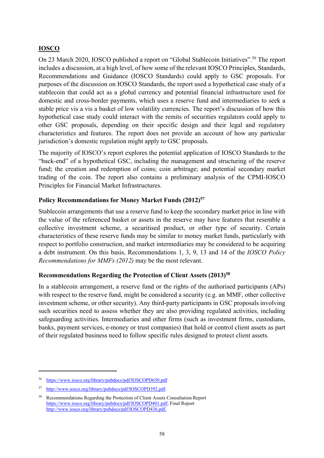## **IOSCO**

On 23 March 2020, IOSCO published a report on "Global Stablecoin Initiatives".<sup>56</sup> The report includes a discussion, at a high level, of how some of the relevant IOSCO Principles, Standards, Recommendations and Guidance (IOSCO Standards) could apply to GSC proposals. For purposes of the discussion on IOSCO Standards, the report used a hypothetical case study of a stablecoin that could act as a global currency and potential financial infrastructure used for domestic and cross-border payments, which uses a reserve fund and intermediaries to seek a stable price vis a vis a basket of low volatility currencies. The report's discussion of how this hypothetical case study could interact with the remits of securities regulators could apply to other GSC proposals, depending on their specific design and their legal and regulatory characteristics and features. The report does not provide an account of how any particular jurisdiction's domestic regulation might apply to GSC proposals.

The majority of IOSCO's report explores the potential application of IOSCO Standards to the "back-end" of a hypothetical GSC, including the management and structuring of the reserve fund; the creation and redemption of coins; coin arbitrage; and potential secondary market trading of the coin. The report also contains a preliminary analysis of the CPMI-IOSCO Principles for Financial Market Infrastructures.

#### **Policy Recommendations for Money Market Funds (2012)57**

Stablecoin arrangements that use a reserve fund to keep the secondary market price in line with the value of the referenced basket or assets in the reserve may have features that resemble a collective investment scheme, a securitised product, or other type of security. Certain characteristics of these reserve funds may be similar to money market funds, particularly with respect to portfolio construction, and market intermediaries may be considered to be acquiring a debt instrument. On this basis, Recommendations 1, 3, 9, 13 and 14 of the *IOSCO Policy Recommendations for MMFs (2012)* may be the most relevant.

#### **Recommendations Regarding the Protection of Client Assets (2013)58**

In a stablecoin arrangement, a reserve fund or the rights of the authorised participants (APs) with respect to the reserve fund, might be considered a security (e.g. an MMF, other collective investment scheme, or other security). Any third-party participants in GSC proposals involving such securities need to assess whether they are also providing regulated activities, including safeguarding activities. Intermediaries and other firms (such as investment firms, custodians, banks, payment services, e-money or trust companies) that hold or control client assets as part of their regulated business need to follow specific rules designed to protect client assets.

<u>.</u>

<sup>56</sup> https://www.iosco.org/library/pubdocs/pdf/IOSCOPD650.pdf

<sup>57</sup> http://www.iosco.org/library/pubdocs/pdf/IOSCOPD392.pdf.

<sup>58</sup> Recommendations Regarding the Protection of Client Assets Consultation Report https://www.iosco.org/library/pubdocs/pdf/IOSCOPD401.pdf; Final Report http://www.iosco.org/library/pubdocs/pdf/IOSCOPD436.pdf.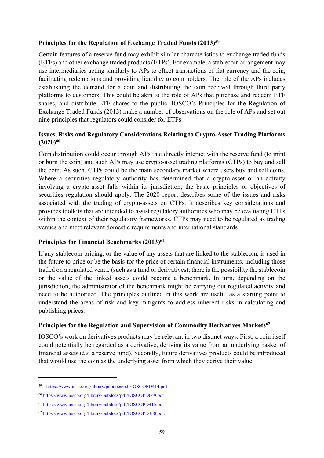#### **Principles for the Regulation of Exchange Traded Funds (2013)59**

Certain features of a reserve fund may exhibit similar characteristics to exchange traded funds (ETFs) and other exchange traded products (ETPs). For example, a stablecoin arrangement may use intermediaries acting similarly to APs to effect transactions of fiat currency and the coin, facilitating redemptions and providing liquidity to coin holders. The role of the APs includes establishing the demand for a coin and distributing the coin received through third party platforms to customers. This could be akin to the role of APs that purchase and redeem ETF shares, and distribute ETF shares to the public. IOSCO's Principles for the Regulation of Exchange Traded Funds (2013) make a number of observations on the role of APs and set out nine principles that regulators could consider for ETFs.

## **Issues, Risks and Regulatory Considerations Relating to Crypto-Asset Trading Platforms (2020)60**

Coin distribution could occur through APs that directly interact with the reserve fund (to mint or burn the coin) and such APs may use crypto-asset trading platforms (CTPs) to buy and sell the coin. As such, CTPs could be the main secondary market where users buy and sell coins. Where a securities regulatory authority has determined that a crypto-asset or an activity involving a crypto-asset falls within its jurisdiction, the basic principles or objectives of securities regulation should apply. The 2020 report describes some of the issues and risks associated with the trading of crypto-assets on CTPs. It describes key considerations and provides toolkits that are intended to assist regulatory authorities who may be evaluating CTPs within the context of their regulatory frameworks. CTPs may need to be regulated as trading venues and meet relevant domestic requirements and international standards.

## Principles for Financial Benchmarks (2013)<sup>61</sup>

If any stablecoin pricing, or the value of any assets that are linked to the stablecoin, is used in the future to price or be the basis for the price of certain financial instruments, including those traded on a regulated venue (such as a fund or derivatives), there is the possibility the stablecoin or the value of the linked assets could become a benchmark. In turn, depending on the jurisdiction, the administrator of the benchmark might be carrying out regulated activity and need to be authorised. The principles outlined in this work are useful as a starting point to understand the areas of risk and key mitigants to address inherent risks in calculating and publishing prices.

#### Principles for the Regulation and Supervision of Commodity Derivatives Markets<sup>62</sup>

IOSCO's work on derivatives products may be relevant in two distinct ways. First, a coin itself could potentially be regarded as a derivative, deriving its value from an underlying basket of financial assets (*i.e.* a reserve fund). Secondly, future derivatives products could be introduced that would use the coin as the underlying asset from which they derive their value.

<sup>59</sup> https://www.iosco.org/library/pubdocs/pdf/IOSCOPD414.pdf.

<sup>60</sup> https://www.iosco.org/library/pubdocs/pdf/IOSCOPD649.pdf

<sup>61</sup> https://www.iosco.org/library/pubdocs/pdf/IOSCOPD415.pdf

<sup>62</sup> https://www.iosco.org/library/pubdocs/pdf/IOSCOPD358.pdf.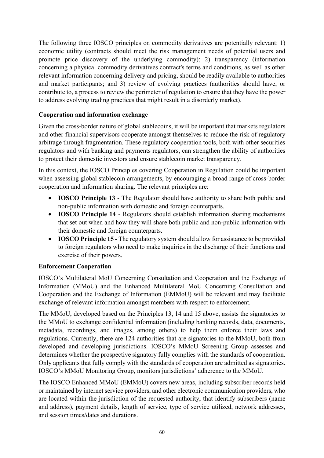The following three IOSCO principles on commodity derivatives are potentially relevant: 1) economic utility (contracts should meet the risk management needs of potential users and promote price discovery of the underlying commodity); 2) transparency (information concerning a physical commodity derivatives contract's terms and conditions, as well as other relevant information concerning delivery and pricing, should be readily available to authorities and market participants; and 3) review of evolving practices (authorities should have, or contribute to, a process to review the perimeter of regulation to ensure that they have the power to address evolving trading practices that might result in a disorderly market).

## **Cooperation and information exchange**

Given the cross-border nature of global stablecoins, it will be important that markets regulators and other financial supervisors cooperate amongst themselves to reduce the risk of regulatory arbitrage through fragmentation. These regulatory cooperation tools, both with other securities regulators and with banking and payments regulators, can strengthen the ability of authorities to protect their domestic investors and ensure stablecoin market transparency.

In this context, the IOSCO Principles covering Cooperation in Regulation could be important when assessing global stablecoin arrangements, by encouraging a broad range of cross-border cooperation and information sharing. The relevant principles are:

- **IOSCO Principle 13** The Regulator should have authority to share both public and non-public information with domestic and foreign counterparts.
- **IOSCO Principle 14** Regulators should establish information sharing mechanisms that set out when and how they will share both public and non-public information with their domestic and foreign counterparts.
- **IOSCO Principle 15** The regulatory system should allow for assistance to be provided to foreign regulators who need to make inquiries in the discharge of their functions and exercise of their powers.

## **Enforcement Cooperation**

IOSCO's Multilateral MoU Concerning Consultation and Cooperation and the Exchange of Information (MMoU) and the Enhanced Multilateral MoU Concerning Consultation and Cooperation and the Exchange of Information (EMMoU) will be relevant and may facilitate exchange of relevant information amongst members with respect to enforcement.

The MMoU, developed based on the Principles 13, 14 and 15 above, assists the signatories to the MMoU to exchange confidential information (including banking records, data, documents, metadata, recordings, and images, among others) to help them enforce their laws and regulations. Currently, there are 124 authorities that are signatories to the MMoU, both from developed and developing jurisdictions. IOSCO's MMoU Screening Group assesses and determines whether the prospective signatory fully complies with the standards of cooperation. Only applicants that fully comply with the standards of cooperation are admitted as signatories. IOSCO's MMoU Monitoring Group, monitors jurisdictions' adherence to the MMoU.

The IOSCO Enhanced MMoU (EMMoU) covers new areas, including subscriber records held or maintained by internet service providers, and other electronic communication providers, who are located within the jurisdiction of the requested authority, that identify subscribers (name and address), payment details, length of service, type of service utilized, network addresses, and session times/dates and durations.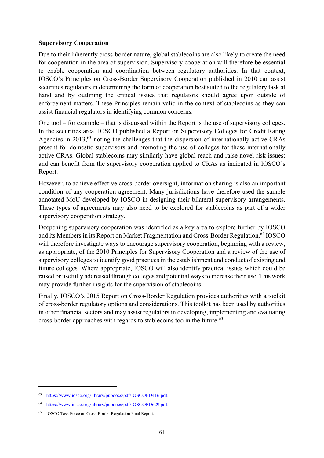#### **Supervisory Cooperation**

Due to their inherently cross-border nature, global stablecoins are also likely to create the need for cooperation in the area of supervision. Supervisory cooperation will therefore be essential to enable cooperation and coordination between regulatory authorities. In that context, IOSCO's Principles on Cross-Border Supervisory Cooperation published in 2010 can assist securities regulators in determining the form of cooperation best suited to the regulatory task at hand and by outlining the critical issues that regulators should agree upon outside of enforcement matters. These Principles remain valid in the context of stablecoins as they can assist financial regulators in identifying common concerns.

One tool – for example – that is discussed within the Report is the use of supervisory colleges. In the securities area, IOSCO published a Report on Supervisory Colleges for Credit Rating Agencies in 2013,<sup>63</sup> noting the challenges that the dispersion of internationally active CRAs present for domestic supervisors and promoting the use of colleges for these internationally active CRAs. Global stablecoins may similarly have global reach and raise novel risk issues; and can benefit from the supervisory cooperation applied to CRAs as indicated in IOSCO's Report.

However, to achieve effective cross-border oversight, information sharing is also an important condition of any cooperation agreement. Many jurisdictions have therefore used the sample annotated MoU developed by IOSCO in designing their bilateral supervisory arrangements. These types of agreements may also need to be explored for stablecoins as part of a wider supervisory cooperation strategy.

Deepening supervisory cooperation was identified as a key area to explore further by IOSCO and its Members in its Report on Market Fragmentation and Cross-Border Regulation.<sup>64</sup> IOSCO will therefore investigate ways to encourage supervisory cooperation, beginning with a review, as appropriate, of the 2010 Principles for Supervisory Cooperation and a review of the use of supervisory colleges to identify good practices in the establishment and conduct of existing and future colleges. Where appropriate, IOSCO will also identify practical issues which could be raised or usefully addressed through colleges and potential ways to increase their use. This work may provide further insights for the supervision of stablecoins.

Finally, IOSCO's 2015 Report on Cross-Border Regulation provides authorities with a toolkit of cross-border regulatory options and considerations. This toolkit has been used by authorities in other financial sectors and may assist regulators in developing, implementing and evaluating cross-border approaches with regards to stablecoins too in the future.<sup>65</sup>

<u>.</u>

<sup>63</sup> https://www.iosco.org/library/pubdocs/pdf/IOSCOPD416.pdf.

<sup>64</sup> https://www.iosco.org/library/pubdocs/pdf/IOSCOPD629.pdf.

<sup>65</sup> IOSCO Task Force on Cross-Border Regulation Final Report.